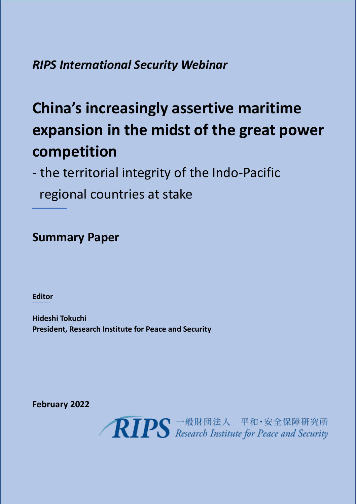*RIPS International Security Webinar*

# **China's increasingly assertive maritime expansion in the midst of the great power competition**

- the territorial integrity of the Indo-Pacific regional countries at stake

## **Summary Paper**

**Editor**

**Hideshi Tokuchi President, Research Institute for Peace and Security**

**February 2022**

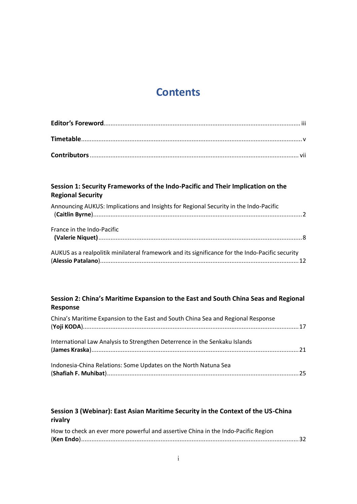## **Contents**

### **Session 1: Security Frameworks of the Indo-Pacific and Their Implication on the Regional Security**

| Announcing AUKUS: Implications and Insights for Regional Security in the Indo-Pacific           |  |
|-------------------------------------------------------------------------------------------------|--|
| France in the Indo-Pacific                                                                      |  |
| AUKUS as a realpolitik minilateral framework and its significance for the Indo-Pacific security |  |

### **Session 2: China's Maritime Expansion to the East and South China Seas and Regional Response**

| China's Maritime Expansion to the East and South China Sea and Regional Response |  |
|----------------------------------------------------------------------------------|--|
| International Law Analysis to Strengthen Deterrence in the Senkaku Islands       |  |
| Indonesia-China Relations: Some Updates on the North Natuna Sea                  |  |

### **Session 3 (Webinar): East Asian Maritime Security in the Context of the US-China rivalry**

| How to check an ever more powerful and assertive China in the Indo-Pacific Region |  |
|-----------------------------------------------------------------------------------|--|
|                                                                                   |  |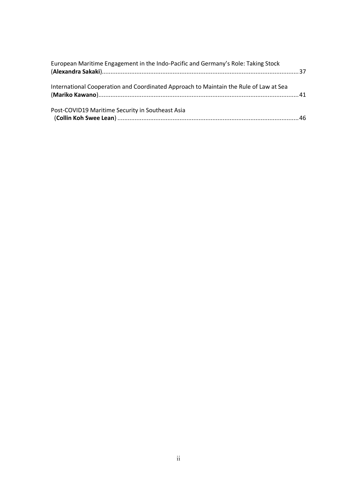| European Maritime Engagement in the Indo-Pacific and Germany's Role: Taking Stock     |  |
|---------------------------------------------------------------------------------------|--|
| International Cooperation and Coordinated Approach to Maintain the Rule of Law at Sea |  |
| Post-COVID19 Maritime Security in Southeast Asia                                      |  |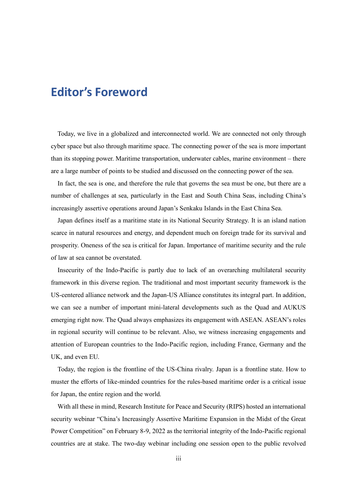## **Editor's Foreword**

Today, we live in a globalized and interconnected world. We are connected not only through cyber space but also through maritime space. The connecting power of the sea is more important than its stopping power. Maritime transportation, underwater cables, marine environment – there are a large number of points to be studied and discussed on the connecting power of the sea.

In fact, the sea is one, and therefore the rule that governs the sea must be one, but there are a number of challenges at sea, particularly in the East and South China Seas, including China's increasingly assertive operations around Japan's Senkaku Islands in the East China Sea.

Japan defines itself as a maritime state in its National Security Strategy. It is an island nation scarce in natural resources and energy, and dependent much on foreign trade for its survival and prosperity. Oneness of the sea is critical for Japan. Importance of maritime security and the rule of law at sea cannot be overstated.

Insecurity of the Indo-Pacific is partly due to lack of an overarching multilateral security framework in this diverse region. The traditional and most important security framework is the US-centered alliance network and the Japan-US Alliance constitutes its integral part. In addition, we can see a number of important mini-lateral developments such as the Quad and AUKUS emerging right now. The Quad always emphasizes its engagement with ASEAN. ASEAN's roles in regional security will continue to be relevant. Also, we witness increasing engagements and attention of European countries to the Indo-Pacific region, including France, Germany and the UK, and even EU.

Today, the region is the frontline of the US-China rivalry. Japan is a frontline state. How to muster the efforts of like-minded countries for the rules-based maritime order is a critical issue for Japan, the entire region and the world.

With all these in mind, Research Institute for Peace and Security (RIPS) hosted an international security webinar "China's Increasingly Assertive Maritime Expansion in the Midst of the Great Power Competition" on February 8-9, 2022 as the territorial integrity of the Indo-Pacific regional countries are at stake. The two-day webinar including one session open to the public revolved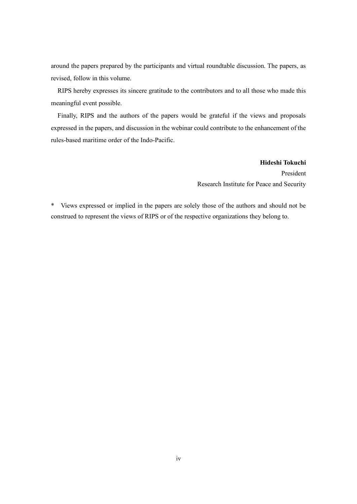around the papers prepared by the participants and virtual roundtable discussion. The papers, as revised, follow in this volume.

RIPS hereby expresses its sincere gratitude to the contributors and to all those who made this meaningful event possible.

Finally, RIPS and the authors of the papers would be grateful if the views and proposals expressed in the papers, and discussion in the webinar could contribute to the enhancement of the rules-based maritime order of the Indo-Pacific.

> **Hideshi Tokuchi** President Research Institute for Peace and Security

\* Views expressed or implied in the papers are solely those of the authors and should not be construed to represent the views of RIPS or of the respective organizations they belong to.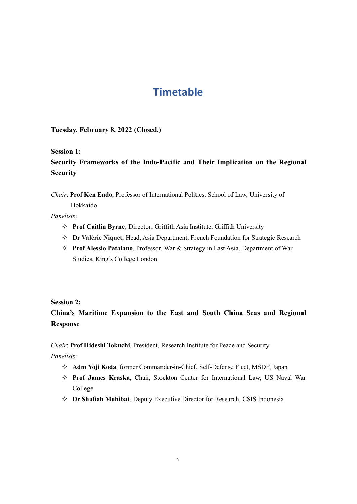## **Timetable**

**Tuesday, February 8, 2022 (Closed.)**

**Session 1:**

**Security Frameworks of the Indo-Pacific and Their Implication on the Regional Security**

*Chair*: **Prof Ken Endo**, Professor of International Politics, School of Law, University of

Hokkaido

*Panelists*:

- **Prof Caitlin Byrne**, Director, Griffith Asia Institute, Griffith University
- **Dr Valérie Niquet**, Head, Asia Department, French Foundation for Strategic Research
- **Prof Alessio Patalano**, Professor, War & Strategy in East Asia, Department of War Studies, King's College London

#### **Session 2:**

## **China's Maritime Expansion to the East and South China Seas and Regional Response**

*Chair*: **Prof Hideshi Tokuchi**, President, Research Institute for Peace and Security

*Panelists*:

- **Adm Yoji Koda**, former Commander-in-Chief, Self-Defense Fleet, MSDF, Japan
- **Prof James Kraska**, Chair, Stockton Center for International Law, US Naval War College
- **Dr Shafiah Muhibat**, Deputy Executive Director for Research, CSIS Indonesia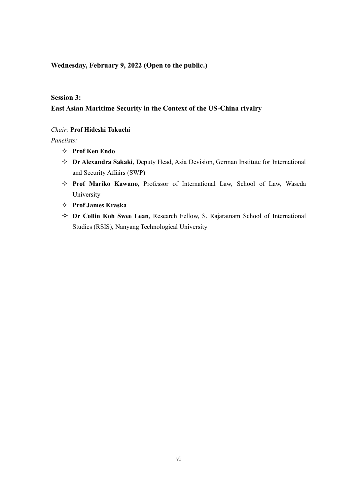#### **Wednesday, February 9, 2022 (Open to the public.)**

#### **Session 3:**

### **East Asian Maritime Security in the Context of the US-China rivalry**

#### *Chair:* **Prof Hideshi Tokuchi**

*Panelists:*

- **Prof Ken Endo**
- **Dr Alexandra Sakaki**, Deputy Head, Asia Devision, German Institute for International and Security Affairs (SWP)
- **Prof Mariko Kawano**, Professor of International Law, School of Law, Waseda University
- **Prof James Kraska**
- **Dr Collin Koh Swee Lean**, Research Fellow, S. Rajaratnam School of International Studies (RSIS), Nanyang Technological University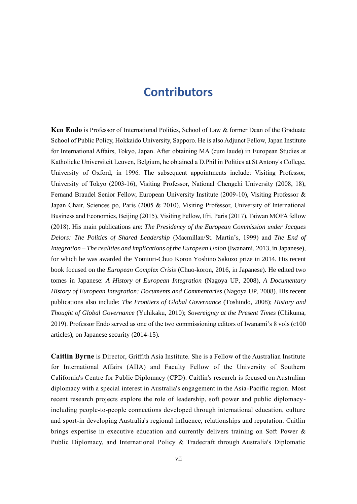## **Contributors**

**Ken Endo** is Professor of International Politics, School of Law & former Dean of the Graduate School of Public Policy, Hokkaido University, Sapporo. He is also Adjunct Fellow, Japan Institute for International Affairs, Tokyo, Japan. After obtaining MA (cum laude) in European Studies at Katholieke Universiteit Leuven, Belgium, he obtained a D.Phil in Politics at St Antony's College, University of Oxford, in 1996. The subsequent appointments include: Visiting Professor, University of Tokyo (2003-16), Visiting Professor, National Chengchi University (2008, 18), Fernand Braudel Senior Fellow, European University Institute (2009-10), Visiting Professor & Japan Chair, Sciences po, Paris (2005 & 2010), Visiting Professor, University of International Business and Economics, Beijing (2015), Visiting Fellow, Ifri, Paris (2017), Taiwan MOFA fellow (2018). His main publications are: *The Presidency of the European Commission under Jacques Delors: The Politics of Shared Leadership* (Macmillan/St. Martin's, 1999) and *The End of Integration – The realities and implications of the European Union* (Iwanami, 2013, in Japanese), for which he was awarded the Yomiuri-Chuo Koron Yoshino Sakuzo prize in 2014. His recent book focused on the *European Complex Crisis* (Chuo-koron, 2016, in Japanese). He edited two tomes in Japanese: *A History of European Integration* (Nagoya UP, 2008), *A Documentary History of European Integration: Documents and Commentaries* (Nagoya UP, 2008). His recent publications also include: *The Frontiers of Global Governance* (Toshindo, 2008); *History and Thought of Global Governance* (Yuhikaku, 2010); *Sovereignty at the Present Times* (Chikuma, 2019). Professor Endo served as one of the two commissioning editors of Iwanami's 8 vols (c100 articles), on Japanese security (2014-15).

**Caitlin Byrne** is Director, Griffith Asia Institute. She is a Fellow of the Australian Institute for International Affairs (AIIA) and Faculty Fellow of the University of Southern California's Centre for Public Diplomacy (CPD). Caitlin's research is focused on Australian diplomacy with a special interest in Australia's engagement in the Asia-Pacific region. Most recent research projects explore the role of leadership, soft power and public diplomacyincluding people-to-people connections developed through international education, culture and sport-in developing Australia's regional influence, relationships and reputation. Caitlin brings expertise in executive education and currently delivers training on Soft Power & Public Diplomacy, and International Policy & Tradecraft through Australia's Diplomatic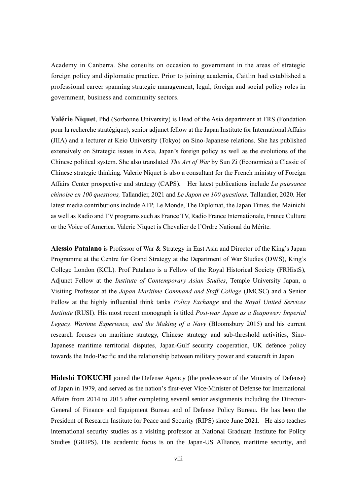Academy in Canberra. She consults on occasion to government in the areas of strategic foreign policy and diplomatic practice. Prior to joining academia, Caitlin had established a professional career spanning strategic management, legal, foreign and social policy roles in government, business and community sectors.

**Valérie Niquet**, Phd (Sorbonne University) is Head of the Asia department at FRS (Fondation pour la recherche stratégique), senior adjunct fellow at the Japan Institute for International Affairs (JIIA) and a lecturer at Keio University (Tokyo) on Sino-Japanese relations. She has published extensively on Strategic issues in Asia, Japan's foreign policy as well as the evolutions of the Chinese political system. She also translated *The Art of War* by Sun Zi (Economica) a Classic of Chinese strategic thinking. Valerie Niquet is also a consultant for the French ministry of Foreign Affairs Center prospective and strategy (CAPS). Her latest publications include *La puissance chinoise en 100 questions,* Tallandier, 2021 and *Le Japon en 100 questions,* Tallandier, 2020. Her latest media contributions include AFP, Le Monde, The Diplomat, the Japan Times, the Mainichi as well as Radio and TV programs such as France TV, Radio France Internationale, France Culture or the Voice of America. Valerie Niquet is Chevalier de l'Ordre National du Mérite.

**Alessio Patalano** is Professor of War & Strategy in East Asia and Director of the King's Japan Programme at the Centre for Grand Strategy at the Department of War Studies (DWS), King's College London (KCL). Prof Patalano is a Fellow of the Royal Historical Society (FRHistS), Adjunct Fellow at the *Institute of Contemporary Asian Studies*, Temple University Japan, a Visiting Professor at the *Japan Maritime Command and Staff College* (JMCSC) and a Senior Fellow at the highly influential think tanks *Policy Exchange* and the *Royal United Services Institute* (RUSI). His most recent monograph is titled *Post-war Japan as a Seapower: Imperial Legacy, Wartime Experience, and the Making of a Navy* (Bloomsbury 2015) and his current research focuses on maritime strategy, Chinese strategy and sub-threshold activities, Sino-Japanese maritime territorial disputes, Japan-Gulf security cooperation, UK defence policy towards the Indo-Pacific and the relationship between military power and statecraft in Japan

**Hideshi TOKUCHI** joined the Defense Agency (the predecessor of the Ministry of Defense) of Japan in 1979, and served as the nation's first-ever Vice-Minister of Defense for International Affairs from 2014 to 2015 after completing several senior assignments including the Director-General of Finance and Equipment Bureau and of Defense Policy Bureau. He has been the President of Research Institute for Peace and Security (RIPS) since June 2021. He also teaches international security studies as a visiting professor at National Graduate Institute for Policy Studies (GRIPS). His academic focus is on the Japan-US Alliance, maritime security, and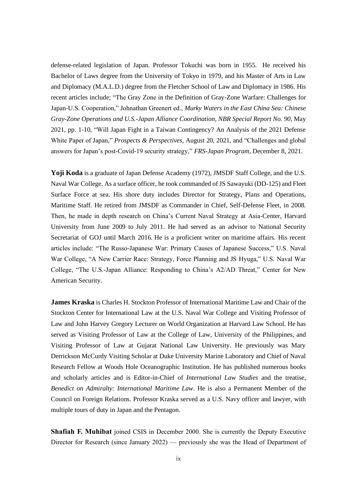defense-related legislation of Japan. Professor Tokuchi was born in 1955. He received his Bachelor of Laws degree from the University of Tokyo in 1979, and his Master of Arts in Law and Diplomacy (M.A.L.D.) degree from the Fletcher School of Law and Diplomacy in 1986. His recent articles include; "The Gray Zone in the Definition of Gray-Zone Warfare: Challenges for Japan-U.S. Cooperation," Johnathan Greenert ed., *Murky Waters in the East China Sea: Chinese Gray-Zone Operations and U.S.-Japan Alliance Coordination, NBR Special Report No. 90*, May 2021, pp. 1-10, "Will Japan Fight in a Taiwan Contingency? An Analysis of the 2021 Defense White Paper of Japan," *Prospects & Perspectives*, August 20, 2021, and "Challenges and global answers for Japan's post-Covid-19 security strategy," *FRS-Japan Program*, December 8, 2021.

**Yoji Koda** is a graduate of Japan Defense Academy (1972), JMSDF Staff College, and the U.S. Naval War College. As a surface officer, he took commanded of JS Sawayuki (DD-125) and Fleet Surface Force at sea. His shore duty includes Director for Strategy, Plans and Operations, Maritime Staff. He retired from JMSDF as Commander in Chief, Self-Defense Fleet, in 2008. Then, he made in depth research on China's Current Naval Strategy at Asia-Center, Harvard University from June 2009 to July 2011. He had served as an advisor to National Security Secretariat of GOJ until March 2016. He is a proficient writer on maritime affairs. His recent articles include: "The Russo-Japanese War: Primary Causes of Japanese Success," U.S. Naval War College, "A New Carrier Race: Strategy, Force Planning and JS Hyuga," U.S. Naval War College, "The U.S.-Japan Alliance: Responding to China's A2/AD Threat," Center for New American Security.

**James Kraska** is Charles H. Stockton Professor of International Maritime Law and Chair of the Stockton Center for International Law at the U.S. Naval War College and Visiting Professor of Law and John Harvey Gregory Lecturer on World Organization at Harvard Law School. He has served as Visiting Professor of Law at the College of Law, University of the Philippines, and Visiting Professor of Law at Gujarat National Law University. He previously was Mary Derrickson McCurdy Visiting Scholar at Duke University Marine Laboratory and Chief of Naval Research Fellow at Woods Hole Oceanographic Institution. He has published numerous books and scholarly articles and is Editor-in-Chief of *International Law Studies* and the treatise, *Benedict on Admiralty: International Maritime Law*. He is also a Permanent Member of the Council on Foreign Relations. Professor Kraska served as a U.S. Navy officer and lawyer, with multiple tours of duty in Japan and the Pentagon.

**Shafiah F. Muhibat** joined CSIS in December 2000. She is currently the Deputy Executive Director for Research (since January 2022) — previously she was the Head of Department of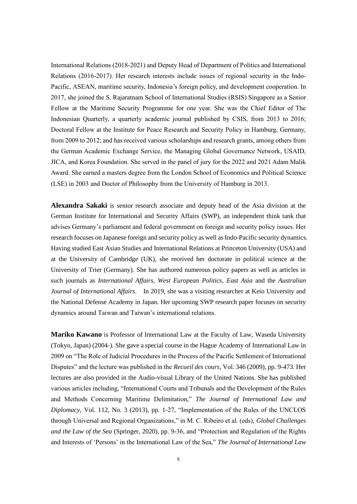International Relations (2018-2021) and Deputy Head of Department of Politics and International Relations (2016-2017). Her research interests include issues of regional security in the Indo-Pacific, ASEAN, maritime security, Indonesia's foreign policy, and development cooperation. In 2017, she joined the S. Rajaratnam School of International Studies (RSIS) Singapore as a Senior Fellow at the Maritime Security Programme for one year. She was the Chief Editor of The Indonesian Quarterly, a quarterly academic journal published by CSIS, from 2013 to 2016; Doctoral Fellow at the Institute for Peace Research and Security Policy in Hamburg, Germany, from 2009 to 2012; and has received various scholarships and research grants, among others from the German Academic Exchange Service, the Managing Global Governance Network, USAID, JICA, and Korea Foundation. She served in the panel of jury for the 2022 and 2021 Adam Malik Award. She earned a masters degree from the London School of Economics and Political Science (LSE) in 2003 and Doctor of Philosophy from the University of Hamburg in 2013.

**Alexandra Sakaki** is senior research associate and deputy head of the Asia division at the German Institute for International and Security Affairs (SWP), an independent think tank that advises Germany's parliament and federal government on foreign and security policy issues. Her research focuses on Japanese foreign and security policy as well as Indo-Pacific security dynamics. Having studied East Asian Studies and International Relations at Princeton University (USA) and at the University of Cambridge (UK), she received her doctorate in political science at the University of Trier (Germany). She has authored numerous policy papers as well as articles in such journals as *International Affairs*, *West European Politics*, *East Asia* and the *Australian Journal of International Affairs*. In 2019, she was a visiting researcher at Keio University and the National Defense Academy in Japan. Her upcoming SWP research paper focuses on security dynamics around Taiwan and Taiwan's international relations.

**Mariko Kawano** is Professor of International Law at the Faculty of Law, Waseda University (Tokyo, Japan) (2004-). She gave a special course in the Hague Academy of International Law in 2009 on "The Role of Judicial Procedures in the Process of the Pacific Settlement of International Disputes" and the lecture was published in the *Recueil des cours*, Vol. 346 (2009), pp. 9-473. Her lectures are also provided in the Audio-visual Library of the United Nations. She has published various articles including, "International Courts and Tribunals and the Development of the Rules and Methods Concerning Maritime Delimitation," *The Journal of International Law and Diplomacy*, Vol. 112, No. 3 (2013), pp. 1-27, "Implementation of the Rules of the UNCLOS through Universal and Regional Organizations," in M. C. Ribeiro et al. (eds), *Global Challenges and the Law of the Sea* (Springer, 2020), pp. 9-36, and "Protection and Regulation of the Rights and Interests of 'Persons' in the International Law of the Sea," *The Journal of International Law*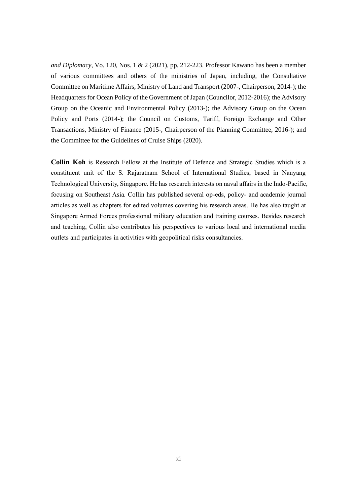*and Diplomacy*, Vo. 120, Nos. 1 & 2 (2021), pp. 212-223. Professor Kawano has been a member of various committees and others of the ministries of Japan, including, the Consultative Committee on Maritime Affairs, Ministry of Land and Transport (2007-, Chairperson, 2014-); the Headquarters for Ocean Policy of the Government of Japan (Councilor, 2012-2016); the Advisory Group on the Oceanic and Environmental Policy (2013-); the Advisory Group on the Ocean Policy and Ports (2014-); the Council on Customs, Tariff, Foreign Exchange and Other Transactions, Ministry of Finance (2015-, Chairperson of the Planning Committee, 2016-); and the Committee for the Guidelines of Cruise Ships (2020).

**Collin Koh** is Research Fellow at the Institute of Defence and Strategic Studies which is a constituent unit of the S. Rajaratnam School of International Studies, based in Nanyang Technological University, Singapore. He has research interests on naval affairs in the Indo-Pacific, focusing on Southeast Asia. Collin has published several op-eds, policy- and academic journal articles as well as chapters for edited volumes covering his research areas. He has also taught at Singapore Armed Forces professional military education and training courses. Besides research and teaching, Collin also contributes his perspectives to various local and international media outlets and participates in activities with geopolitical risks consultancies.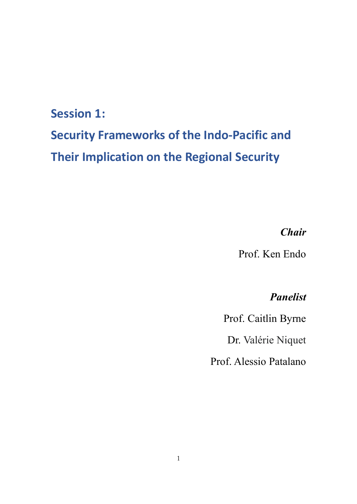## **Session 1:**

# **Security Frameworks of the Indo-Pacific and Their Implication on the Regional Security**

## *Chair*

Prof. Ken Endo

## *Panelist*

Prof. Caitlin Byrne

Dr. Valérie Niquet

Prof. Alessio Patalano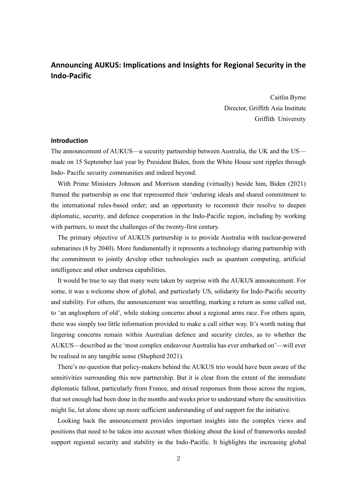### **Announcing AUKUS: Implications and Insights for Regional Security in the Indo-Pacific**

Caitlin Byrne Director, Griffith Asia Institute Griffith University

#### **Introduction**

The announcement of AUKUS—a security partnership between Australia, the UK and the US made on 15 September last year by President Biden, from the White House sent ripples through Indo- Pacific security communities and indeed beyond.

With Prime Ministers Johnson and Morrison standing (virtually) beside him, Biden (2021) framed the partnership as one that represented their 'enduring ideals and shared commitment to the international rules-based order; and an opportunity to recommit their resolve to deepen diplomatic, security, and defence cooperation in the Indo-Pacific region, including by working with partners, to meet the challenges of the twenty-first century.

The primary objective of AUKUS partnership is to provide Australia with nuclear-powered submarines (8 by 2040). More fundamentally it represents a technology sharing partnership with the commitment to jointly develop other technologies such as quantum computing, artificial intelligence and other undersea capabilities.

It would be true to say that many were taken by surprise with the AUKUS announcement. For some, it was a welcome show of global, and particularly US, solidarity for Indo-Pacific security and stability. For others, the announcement was unsettling, marking a return as some called out, to 'an anglosphere of old', while stoking concerns about a regional arms race. For others again, there was simply too little information provided to make a call either way. It's worth noting that lingering concerns remain within Australian defence and security circles, as to whether the AUKUS—described as the 'most complex endeavour Australia has ever embarked on'—will ever be realised in any tangible sense (Shepherd 2021).

There's no question that policy-makers behind the AUKUS trio would have been aware of the sensitivities surrounding this new partnership. But it is clear from the extent of the immediate diplomatic fallout, particularly from France, and mixed responses from those across the region, that not enough had been done in the months and weeks prior to understand where the sensitivities might lie, let alone shore up more sufficient understanding of and support for the initiative.

Looking back the announcement provides important insights into the complex views and positions that need to be taken into account when thinking about the kind of frameworks needed support regional security and stability in the Indo-Pacific. It highlights the increasing global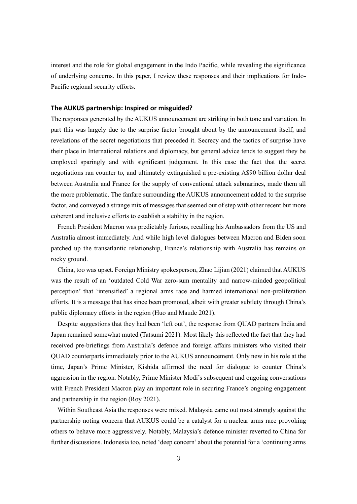interest and the role for global engagement in the Indo Pacific, while revealing the significance of underlying concerns. In this paper, I review these responses and their implications for Indo-Pacific regional security efforts.

#### **The AUKUS partnership: Inspired or misguided?**

The responses generated by the AUKUS announcement are striking in both tone and variation. In part this was largely due to the surprise factor brought about by the announcement itself, and revelations of the secret negotiations that preceded it. Secrecy and the tactics of surprise have their place in International relations and diplomacy, but general advice tends to suggest they be employed sparingly and with significant judgement. In this case the fact that the secret negotiations ran counter to, and ultimately extinguished a pre-existing A\$90 billion dollar deal between Australia and France for the supply of conventional attack submarines, made them all the more problematic. The fanfare surrounding the AUKUS announcement added to the surprise factor, and conveyed a strange mix of messages that seemed out of step with other recent but more coherent and inclusive efforts to establish a stability in the region.

French President Macron was predictably furious, recalling his Ambassadors from the US and Australia almost immediately. And while high level dialogues between Macron and Biden soon patched up the transatlantic relationship, France's relationship with Australia has remains on rocky ground.

China, too was upset. Foreign Ministry spokesperson, Zhao Lijian (2021) claimed that AUKUS was the result of an 'outdated Cold War zero-sum mentality and narrow-minded geopolitical perception' that 'intensified' a regional arms race and harmed international non-proliferation efforts. It is a message that has since been promoted, albeit with greater subtlety through China's public diplomacy efforts in the region (Huo and Maude 2021).

Despite suggestions that they had been 'left out', the response from QUAD partners India and Japan remained somewhat muted (Tatsumi 2021). Most likely this reflected the fact that they had received pre-briefings from Australia's defence and foreign affairs ministers who visited their QUAD counterparts immediately prior to the AUKUS announcement. Only new in his role at the time, Japan's Prime Minister, Kishida affirmed the need for dialogue to counter China's aggression in the region. Notably, Prime Minister Modi's subsequent and ongoing conversations with French President Macron play an important role in securing France's ongoing engagement and partnership in the region (Roy 2021).

Within Southeast Asia the responses were mixed. Malaysia came out most strongly against the partnership noting concern that AUKUS could be a catalyst for a nuclear arms race provoking others to behave more aggressively. Notably, Malaysia's defence minister reverted to China for further discussions. Indonesia too, noted 'deep concern' about the potential for a 'continuing arms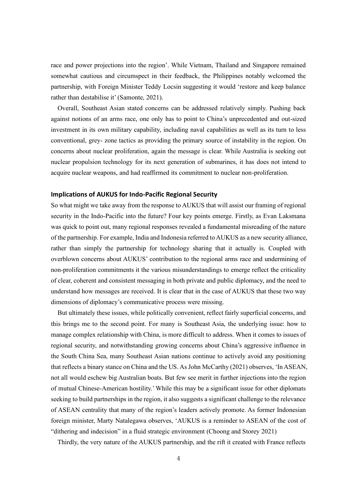race and power projections into the region'. While Vietnam, Thailand and Singapore remained somewhat cautious and circumspect in their feedback, the Philippines notably welcomed the partnership, with Foreign Minister Teddy Locsin suggesting it would 'restore and keep balance rather than destabilise it' (Samonte, 2021).

Overall, Southeast Asian stated concerns can be addressed relatively simply. Pushing back against notions of an arms race, one only has to point to China's unprecedented and out-sized investment in its own military capability, including naval capabilities as well as its turn to less conventional, grey- zone tactics as providing the primary source of instability in the region. On concerns about nuclear proliferation, again the message is clear. While Australia is seeking out nuclear propulsion technology for its next generation of submarines, it has does not intend to acquire nuclear weapons, and had reaffirmed its commitment to nuclear non-proliferation.

#### **Implications of AUKUS for Indo-Pacific Regional Security**

So what might we take away from the response to AUKUS that will assist our framing of regional security in the Indo-Pacific into the future? Four key points emerge. Firstly, as Evan Laksmana was quick to point out, many regional responses revealed a fundamental misreading of the nature of the partnership. For example, India and Indonesia referred to AUKUS as a new security alliance, rather than simply the partnership for technology sharing that it actually is. Coupled with overblown concerns about AUKUS' contribution to the regional arms race and undermining of non-proliferation commitments it the various misunderstandings to emerge reflect the criticality of clear, coherent and consistent messaging in both private and public diplomacy, and the need to understand how messages are received. It is clear that in the case of AUKUS that these two way dimensions of diplomacy's communicative process were missing.

But ultimately these issues, while politically convenient, reflect fairly superficial concerns, and this brings me to the second point. For many is Southeast Asia, the underlying issue: how to manage complex relationship with China, is more difficult to address. When it comes to issues of regional security, and notwithstanding growing concerns about China's aggressive influence in the South China Sea, many Southeast Asian nations continue to actively avoid any positioning that reflects a binary stance on China and the US. As John McCarthy (2021) observes, 'In ASEAN, not all would eschew big Australian boats. But few see merit in further injections into the region of mutual Chinese-American hostility.' While this may be a significant issue for other diplomats seeking to build partnerships in the region, it also suggests a significant challenge to the relevance of ASEAN centrality that many of the region's leaders actively promote. As former Indonesian foreign minister, Marty Natalegawa observes, 'AUKUS is a reminder to ASEAN of the cost of "dithering and indecision" in a fluid strategic environment (Choong and Storey 2021)

Thirdly, the very nature of the AUKUS partnership, and the rift it created with France reflects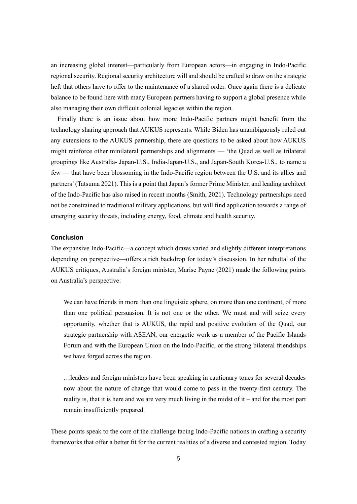an increasing global interest—particularly from European actors—in engaging in Indo-Pacific regional security. Regional security architecture will and should be crafted to draw on the strategic heft that others have to offer to the maintenance of a shared order. Once again there is a delicate balance to be found here with many European partners having to support a global presence while also managing their own difficult colonial legacies within the region.

Finally there is an issue about how more Indo-Pacific partners might benefit from the technology sharing approach that AUKUS represents. While Biden has unambiguously ruled out any extensions to the AUKUS partnership, there are questions to be asked about how AUKUS might reinforce other minilateral partnerships and alignments — 'the Quad as well as trilateral groupings like Australia- Japan-U.S., India-Japan-U.S., and Japan-South Korea-U.S., to name a few — that have been blossoming in the Indo-Pacific region between the U.S. and its allies and partners' (Tatsuma 2021). This is a point that Japan's former Prime Minister, and leading architect of the Indo-Pacific has also raised in recent months (Smith, 2021). Technology partnerships need not be constrained to traditional military applications, but will find application towards a range of emerging security threats, including energy, food, climate and health security.

#### **Conclusion**

The expansive Indo-Pacific—a concept which draws varied and slightly different interpretations depending on perspective—offers a rich backdrop for today's discussion. In her rebuttal of the AUKUS critiques, Australia's foreign minister, Marise Payne (2021) made the following points on Australia's perspective:

We can have friends in more than one linguistic sphere, on more than one continent, of more than one political persuasion. It is not one or the other. We must and will seize every opportunity, whether that is AUKUS, the rapid and positive evolution of the Quad, our strategic partnership with ASEAN, our energetic work as a member of the Pacific Islands Forum and with the European Union on the Indo-Pacific, or the strong bilateral friendships we have forged across the region.

…leaders and foreign ministers have been speaking in cautionary tones for several decades now about the nature of change that would come to pass in the twenty-first century. The reality is, that it is here and we are very much living in the midst of it – and for the most part remain insufficiently prepared.

These points speak to the core of the challenge facing Indo-Pacific nations in crafting a security frameworks that offer a better fit for the current realities of a diverse and contested region. Today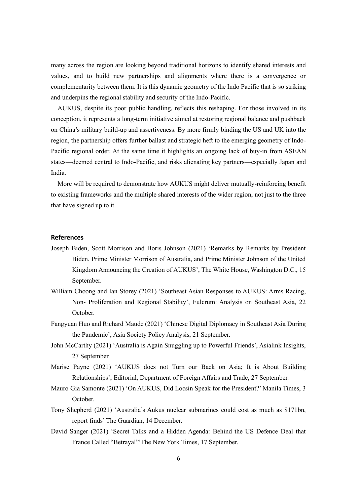many across the region are looking beyond traditional horizons to identify shared interests and values, and to build new partnerships and alignments where there is a convergence or complementarity between them. It is this dynamic geometry of the Indo Pacific that is so striking and underpins the regional stability and security of the Indo-Pacific.

AUKUS, despite its poor public handling, reflects this reshaping. For those involved in its conception, it represents a long-term initiative aimed at restoring regional balance and pushback on China's military build-up and assertiveness. By more firmly binding the US and UK into the region, the partnership offers further ballast and strategic heft to the emerging geometry of Indo-Pacific regional order. At the same time it highlights an ongoing lack of buy-in from ASEAN states—deemed central to Indo-Pacific, and risks alienating key partners—especially Japan and India.

More will be required to demonstrate how AUKUS might deliver mutually-reinforcing benefit to existing frameworks and the multiple shared interests of the wider region, not just to the three that have signed up to it.

#### **References**

- Joseph Biden, Scott Morrison and Boris Johnson (2021) 'Remarks by Remarks by President Biden, Prime Minister Morrison of Australia, and Prime Minister Johnson of the United Kingdom Announcing the Creation of AUKUS', The White House, Washington D.C., 15 September.
- William Choong and Ian Storey (2021) 'Southeast Asian Responses to AUKUS: Arms Racing, Non- Proliferation and Regional Stability', Fulcrum: Analysis on Southeast Asia, 22 October.
- Fangyuan Huo and Richard Maude (2021) 'Chinese Digital Diplomacy in Southeast Asia During the Pandemic', Asia Society Policy Analysis, 21 September.
- John McCarthy (2021) 'Australia is Again Snuggling up to Powerful Friends', Asialink Insights, 27 September.
- Marise Payne (2021) 'AUKUS does not Turn our Back on Asia; It is About Building Relationships', Editorial, Department of Foreign Affairs and Trade, 27 September.
- Mauro Gia Samonte (2021) 'On AUKUS, Did Locsin Speak for the President?' Manila Times, 3 October.
- Tony Shepherd (2021) 'Australia's Aukus nuclear submarines could cost as much as \$171bn, report finds' The Guardian, 14 December.
- David Sanger (2021) 'Secret Talks and a Hidden Agenda: Behind the US Defence Deal that France Called "Betrayal"'The New York Times, 17 September.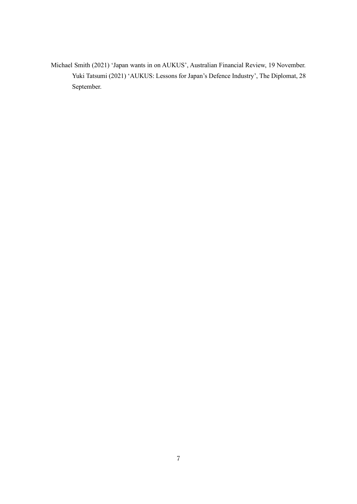Michael Smith (2021) 'Japan wants in on AUKUS', Australian Financial Review, 19 November. Yuki Tatsumi (2021) 'AUKUS: Lessons for Japan's Defence Industry', The Diplomat, 28 September.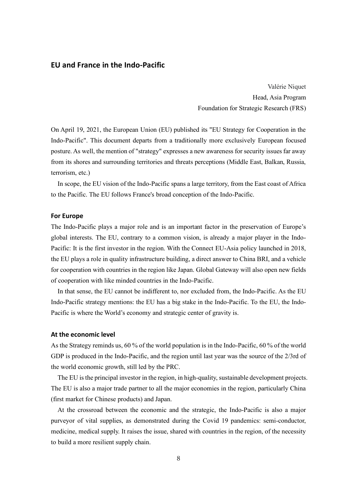#### **EU and France in the Indo-Pacific**

Valérie Niquet Head, Asia Program Foundation for Strategic Research (FRS)

On April 19, 2021, the European Union (EU) published its "EU Strategy for Cooperation in the Indo-Pacific". This document departs from a traditionally more exclusively European focused posture. As well, the mention of "strategy" expresses a new awareness for security issues far away from its shores and surrounding territories and threats perceptions (Middle East, Balkan, Russia, terrorism, etc.)

In scope, the EU vision of the Indo-Pacific spans a large territory, from the East coast of Africa to the Pacific. The EU follows France's broad conception of the Indo-Pacific.

#### **For Europe**

The Indo-Pacific plays a major role and is an important factor in the preservation of Europe's global interests. The EU, contrary to a common vision, is already a major player in the Indo-Pacific: It is the first investor in the region. With the Connect EU-Asia policy launched in 2018, the EU plays a role in quality infrastructure building, a direct answer to China BRI, and a vehicle for cooperation with countries in the region like Japan. Global Gateway will also open new fields of cooperation with like minded countries in the Indo-Pacific.

In that sense, the EU cannot be indifferent to, nor excluded from, the Indo-Pacific. As the EU Indo-Pacific strategy mentions: the EU has a big stake in the Indo-Pacific. To the EU, the Indo-Pacific is where the World's economy and strategic center of gravity is.

#### **At the economic level**

As the Strategy reminds us, 60 % of the world population is in the Indo-Pacific, 60 % of the world GDP is produced in the Indo-Pacific, and the region until last year was the source of the 2/3rd of the world economic growth, still led by the PRC.

The EU is the principal investor in the region, in high-quality, sustainable development projects. The EU is also a major trade partner to all the major economies in the region, particularly China (first market for Chinese products) and Japan.

At the crossroad between the economic and the strategic, the Indo-Pacific is also a major purveyor of vital supplies, as demonstrated during the Covid 19 pandemics: semi-conductor, medicine, medical supply. It raises the issue, shared with countries in the region, of the necessity to build a more resilient supply chain.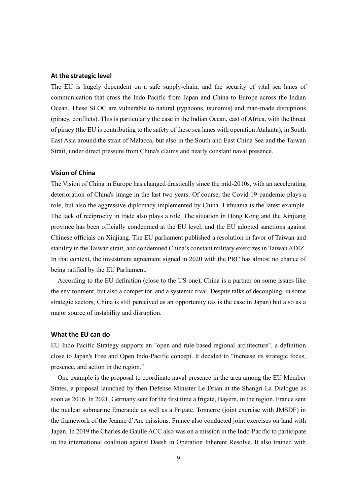#### **At the strategic level**

The EU is hugely dependent on a safe supply-chain, and the security of vital sea lanes of communication that cross the Indo-Pacific from Japan and China to Europe across the Indian Ocean. These SLOC are vulnerable to natural (typhoons, tsunamis) and man-made disruptions (piracy, conflicts). This is particularly the case in the Indian Ocean, east of Africa, with the threat of piracy (the EU is contributing to the safety of these sea lanes with operation Atalanta), in South East Asia around the strait of Malacca, but also in the South and East China Sea and the Taiwan Strait, under direct pressure from China's claims and nearly constant naval presence.

#### **Vision of China**

The Vision of China in Europe has changed drastically since the mid-2010s, with an accelerating deterioration of China's image in the last two years. Of course, the Covid 19 pandemic plays a role, but also the aggressive diplomacy implemented by China. Lithuania is the latest example. The lack of reciprocity in trade also plays a role. The situation in Hong Kong and the Xinjiang province has been officially condemned at the EU level, and the EU adopted sanctions against Chinese officials on Xinjiang. The EU parliament published a resolution in favor of Taiwan and stability in the Taiwan strait, and condemned China's constant military exercizes in Taiwan ADIZ. In that context, the investment agreement signed in 2020 with the PRC has almost no chance of being ratified by the EU Parliament.

According to the EU definition (close to the US one), China is a partner on some issues like the environment, but also a competitor, and a systemic rival. Despite talks of decoupling, in some strategic sectors, China is still perceived as an opportunity (as is the case in Japan) but also as a major source of instability and disruption.

#### **What the EU can do**

EU Indo-Pacific Strategy supports an "open and rule-based regional architecture", a definition close to Japan's Free and Open Indo-Pacific concept. It decided to "increase its strategic focus, presence, and action in the region."

One example is the proposal to coordinate naval presence in the area among the EU Member States, a proposal launched by then-Defense Minister Le Drian at the Shangri-La Dialogue as soon as 2016. In 2021, Germany sent for the first time a frigate, Bayern, in the region. France sent the nuclear submarine Emeraude as well as a Frigate, Tonnerre (joint exercise with JMSDF) in the framework of the Jeanne d'Arc missions. France also conducted joint exercises on land with Japan. In 2019 the Charles de Gaulle ACC also was on a mission in the Indo-Pacific to participate in the international coalition against Daesh in Operation Inherent Resolve. It also trained with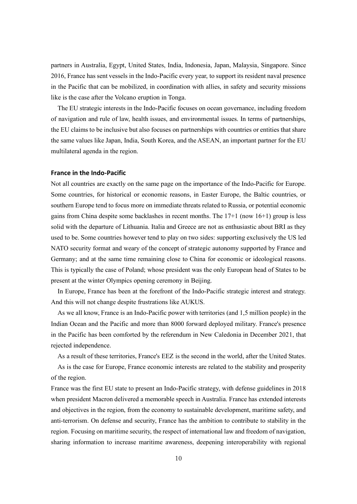partners in Australia, Egypt, United States, India, Indonesia, Japan, Malaysia, Singapore. Since 2016, France has sent vessels in the Indo-Pacific every year, to support its resident naval presence in the Pacific that can be mobilized, in coordination with allies, in safety and security missions like is the case after the Volcano eruption in Tonga.

The EU strategic interests in the Indo-Pacific focuses on ocean governance, including freedom of navigation and rule of law, health issues, and environmental issues. In terms of partnerships, the EU claims to be inclusive but also focuses on partnerships with countries or entities that share the same values like Japan, India, South Korea, and the ASEAN, an important partner for the EU multilateral agenda in the region.

#### **France in the Indo-Pacific**

Not all countries are exactly on the same page on the importance of the Indo-Pacific for Europe. Some countries, for historical or economic reasons, in Easter Europe, the Baltic countries, or southern Europe tend to focus more on immediate threats related to Russia, or potential economic gains from China despite some backlashes in recent months. The 17+1 (now 16+1) group is less solid with the departure of Lithuania. Italia and Greece are not as enthusiastic about BRI as they used to be. Some countries however tend to play on two sides: supporting exclusively the US led NATO security format and weary of the concept of strategic autonomy supported by France and Germany; and at the same time remaining close to China for economic or ideological reasons. This is typically the case of Poland; whose president was the only European head of States to be present at the winter Olympics opening ceremony in Beijing.

In Europe, France has been at the forefront of the Indo-Pacific strategic interest and strategy. And this will not change despite frustrations like AUKUS.

As we all know, France is an Indo-Pacific power with territories (and 1,5 million people) in the Indian Ocean and the Pacific and more than 8000 forward deployed military. France's presence in the Pacific has been comforted by the referendum in New Caledonia in December 2021, that rejected independence.

As a result of these territories, France's EEZ is the second in the world, after the United States.

As is the case for Europe, France economic interests are related to the stability and prosperity of the region.

France was the first EU state to present an Indo-Pacific strategy, with defense guidelines in 2018 when president Macron delivered a memorable speech in Australia. France has extended interests and objectives in the region, from the economy to sustainable development, maritime safety, and anti-terrorism. On defense and security, France has the ambition to contribute to stability in the region. Focusing on maritime security, the respect of international law and freedom of navigation, sharing information to increase maritime awareness, deepening interoperability with regional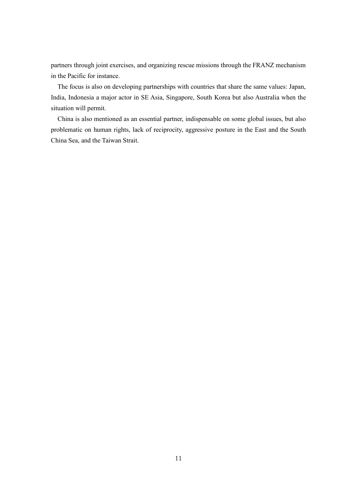partners through joint exercises, and organizing rescue missions through the FRANZ mechanism in the Pacific for instance.

The focus is also on developing partnerships with countries that share the same values: Japan, India, Indonesia a major actor in SE Asia, Singapore, South Korea but also Australia when the situation will permit.

China is also mentioned as an essential partner, indispensable on some global issues, but also problematic on human rights, lack of reciprocity, aggressive posture in the East and the South China Sea, and the Taiwan Strait.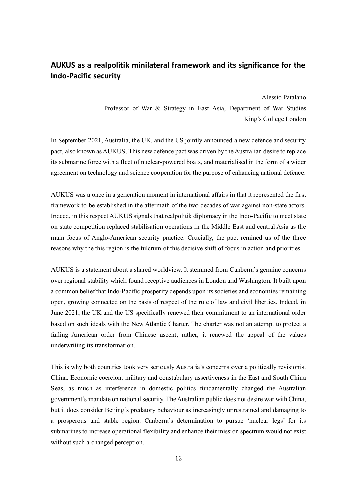### **AUKUS as a realpolitik minilateral framework and its significance for the Indo-Pacific security**

Alessio Patalano Professor of War & Strategy in East Asia, Department of War Studies King's College London

In September 2021, Australia, the UK, and the US jointly announced a new defence and security pact, also known as AUKUS. This new defence pact was driven by the Australian desire to replace its submarine force with a fleet of nuclear-powered boats, and materialised in the form of a wider agreement on technology and science cooperation for the purpose of enhancing national defence.

AUKUS was a once in a generation moment in international affairs in that it represented the first framework to be established in the aftermath of the two decades of war against non-state actors. Indeed, in this respect AUKUS signals that realpolitik diplomacy in the Indo-Pacific to meet state on state competition replaced stabilisation operations in the Middle East and central Asia as the main focus of Anglo-American security practice. Crucially, the pact remined us of the three reasons why the this region is the fulcrum of this decisive shift of focus in action and priorities.

AUKUS is a statement about a shared worldview. It stemmed from Canberra's genuine concerns over regional stability which found receptive audiences in London and Washington. It built upon a common belief that Indo-Pacific prosperity depends upon its societies and economies remaining open, growing connected on the basis of respect of the rule of law and civil liberties. Indeed, in June 2021, the UK and the US specifically renewed their commitment to an international order based on such ideals with the New Atlantic Charter. The charter was not an attempt to protect a failing American order from Chinese ascent; rather, it renewed the appeal of the values underwriting its transformation.

This is why both countries took very seriously Australia's concerns over a politically revisionist China. Economic coercion, military and constabulary assertiveness in the East and South China Seas, as much as interference in domestic politics fundamentally changed the Australian government's mandate on national security. The Australian public does not desire war with China, but it does consider Beijing's predatory behaviour as increasingly unrestrained and damaging to a prosperous and stable region. Canberra's determination to pursue 'nuclear legs' for its submarines to increase operational flexibility and enhance their mission spectrum would not exist without such a changed perception.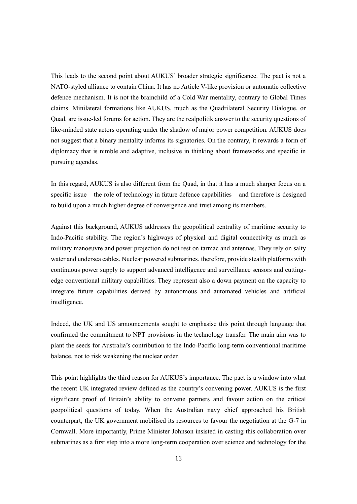This leads to the second point about AUKUS' broader strategic significance. The pact is not a NATO-styled alliance to contain China. It has no Article V-like provision or automatic collective defence mechanism. It is not the brainchild of a Cold War mentality, contrary to Global Times claims. Minilateral formations like AUKUS, much as the Quadrilateral Security Dialogue, or Quad, are issue-led forums for action. They are the realpolitik answer to the security questions of like-minded state actors operating under the shadow of major power competition. AUKUS does not suggest that a binary mentality informs its signatories. On the contrary, it rewards a form of diplomacy that is nimble and adaptive, inclusive in thinking about frameworks and specific in pursuing agendas.

In this regard, AUKUS is also different from the Quad, in that it has a much sharper focus on a specific issue – the role of technology in future defence capabilities – and therefore is designed to build upon a much higher degree of convergence and trust among its members.

Against this background, AUKUS addresses the geopolitical centrality of maritime security to Indo-Pacific stability. The region's highways of physical and digital connectivity as much as military manoeuvre and power projection do not rest on tarmac and antennas. They rely on salty water and undersea cables. Nuclear powered submarines, therefore, provide stealth platforms with continuous power supply to support advanced intelligence and surveillance sensors and cuttingedge conventional military capabilities. They represent also a down payment on the capacity to integrate future capabilities derived by autonomous and automated vehicles and artificial intelligence.

Indeed, the UK and US announcements sought to emphasise this point through language that confirmed the commitment to NPT provisions in the technology transfer. The main aim was to plant the seeds for Australia's contribution to the Indo-Pacific long-term conventional maritime balance, not to risk weakening the nuclear order.

This point highlights the third reason for AUKUS's importance. The pact is a window into what the recent UK integrated review defined as the country's convening power. AUKUS is the first significant proof of Britain's ability to convene partners and favour action on the critical geopolitical questions of today. When the Australian navy chief approached his British counterpart, the UK government mobilised its resources to favour the negotiation at the G-7 in Cornwall. More importantly, Prime Minister Johnson insisted in casting this collaboration over submarines as a first step into a more long-term cooperation over science and technology for the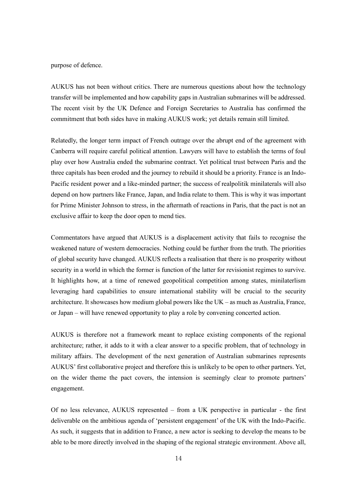purpose of defence.

AUKUS has not been without critics. There are numerous questions about how the technology transfer will be implemented and how capability gaps in Australian submarines will be addressed. The recent visit by the UK Defence and Foreign Secretaries to Australia has confirmed the commitment that both sides have in making AUKUS work; yet details remain still limited.

Relatedly, the longer term impact of French outrage over the abrupt end of the agreement with Canberra will require careful political attention. Lawyers will have to establish the terms of foul play over how Australia ended the submarine contract. Yet political trust between Paris and the three capitals has been eroded and the journey to rebuild it should be a priority. France is an Indo-Pacific resident power and a like-minded partner; the success of realpolitik minilaterals will also depend on how partners like France, Japan, and India relate to them. This is why it was important for Prime Minister Johnson to stress, in the aftermath of reactions in Paris, that the pact is not an exclusive affair to keep the door open to mend ties.

Commentators have argued that AUKUS is a displacement activity that fails to recognise the weakened nature of western democracies. Nothing could be further from the truth. The priorities of global security have changed. AUKUS reflects a realisation that there is no prosperity without security in a world in which the former is function of the latter for revisionist regimes to survive. It highlights how, at a time of renewed geopolitical competition among states, minilaterlism leveraging hard capabilities to ensure international stability will be crucial to the security architecture. It showcases how medium global powers like the UK – as much as Australia, France, or Japan – will have renewed opportunity to play a role by convening concerted action.

AUKUS is therefore not a framework meant to replace existing components of the regional architecture; rather, it adds to it with a clear answer to a specific problem, that of technology in military affairs. The development of the next generation of Australian submarines represents AUKUS' first collaborative project and therefore this is unlikely to be open to other partners. Yet, on the wider theme the pact covers, the intension is seemingly clear to promote partners' engagement.

Of no less relevance, AUKUS represented – from a UK perspective in particular - the first deliverable on the ambitious agenda of 'persistent engagement' of the UK with the Indo-Pacific. As such, it suggests that in addition to France, a new actor is seeking to develop the means to be able to be more directly involved in the shaping of the regional strategic environment. Above all,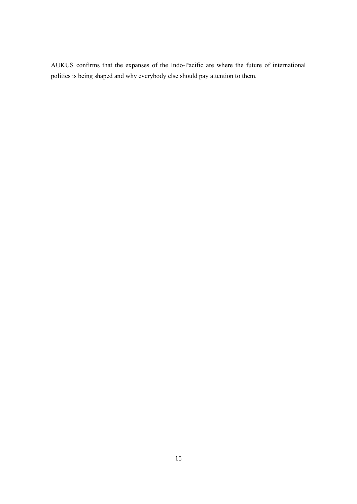AUKUS confirms that the expanses of the Indo-Pacific are where the future of international politics is being shaped and why everybody else should pay attention to them.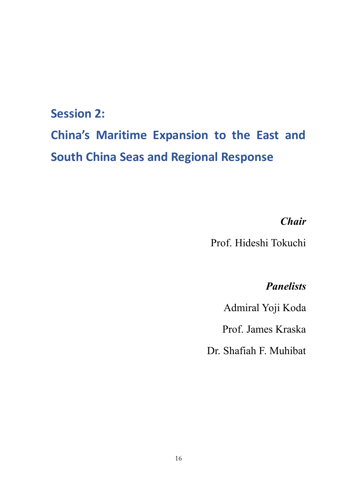## **Session 2:**

# **China's Maritime Expansion to the East and South China Seas and Regional Response**

## *Chair*

Prof. Hideshi Tokuchi

## *Panelists*

Admiral Yoji Koda

Prof. James Kraska

Dr. Shafiah F. Muhibat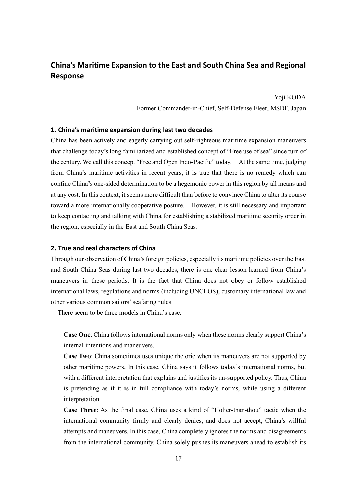### **China's Maritime Expansion to the East and South China Sea and Regional Response**

Yoji KODA

Former Commander-in-Chief, Self-Defense Fleet, MSDF, Japan

#### **1. China's maritime expansion during last two decades**

China has been actively and eagerly carrying out self-righteous maritime expansion maneuvers that challenge today's long familiarized and established concept of "Free use of sea" since turn of the century. We call this concept "Free and Open Indo-Pacific" today. At the same time, judging from China's maritime activities in recent years, it is true that there is no remedy which can confine China's one-sided determination to be a hegemonic power in this region by all means and at any cost. In this context, it seems more difficult than before to convince China to alter its course toward a more internationally cooperative posture. However, it is still necessary and important to keep contacting and talking with China for establishing a stabilized maritime security order in the region, especially in the East and South China Seas.

#### **2. True and real characters of China**

Through our observation of China's foreign policies, especially its maritime policies over the East and South China Seas during last two decades, there is one clear lesson learned from China's maneuvers in these periods. It is the fact that China does not obey or follow established international laws, regulations and norms (including UNCLOS), customary international law and other various common sailors' seafaring rules.

There seem to be three models in China's case.

**Case One**: China follows international norms only when these norms clearly support China's internal intentions and maneuvers.

**Case Two**: China sometimes uses unique rhetoric when its maneuvers are not supported by other maritime powers. In this case, China says it follows today's international norms, but with a different interpretation that explains and justifies its un-supported policy. Thus, China is pretending as if it is in full compliance with today's norms, while using a different interpretation.

**Case Three**: As the final case, China uses a kind of "Holier-than-thou" tactic when the international community firmly and clearly denies, and does not accept, China's willful attempts and maneuvers. In this case, China completely ignores the norms and disagreements from the international community. China solely pushes its maneuvers ahead to establish its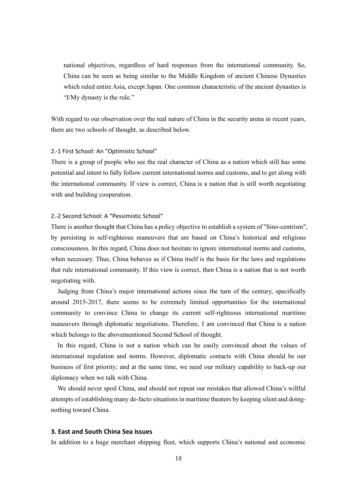national objectives, regardless of hard responses from the international community. So, China can be seen as being similar to the Middle Kingdom of ancient Chinese Dynasties which ruled entire Asia, except Japan. One common characteristic of the ancient dynasties is "I/My dynasty is the rule."

With regard to our observation over the real nature of China in the security arena in recent years, there are two schools of thought, as described below.

#### 2.-1 First School: An "Optimistic School"

There is a group of people who see the real character of China as a nation which still has some potential and intent to fully follow current international norms and customs, and to get along with the international community. If view is correct, China is a nation that is still worth negotiating with and building cooperation.

#### 2.-2 Second School: A "Pessimistic School"

There is another thought that China has a policy objective to establish a system of "Sino-centrism", by persisting in self-righteous maneuvers that are based on China's historical and religious consciousness. In this regard, China does not hesitate to ignore international norms and customs, when necessary. Thus, China behaves as if China itself is the basis for the laws and regulations that rule international community. If this view is correct, then China is a nation that is not worth negotiating with.

Judging from China's major international actions since the turn of the century, specifically around 2015-2017, there seems to be extremely limited opportunities for the international community to convince China to change its current self-righteous international maritime maneuvers through diplomatic negotiations. Therefore, I am convinced that China is a nation which belongs to the abovementioned Second School of thought.

In this regard, China is not a nation which can be easily convinced about the values of international regulation and norms. However, diplomatic contacts with China should be our business of first priority; and at the same time, we need our military capability to back-up our diplomacy when we talk with China.

We should never spoil China, and should not repeat our mistakes that allowed China's willful attempts of establishing many de-facto situations in maritime theaters by keeping silent and doingnothing toward China.

#### **3. East and South China Sea issues**

In addition to a huge merchant shipping fleet, which supports China's national and economic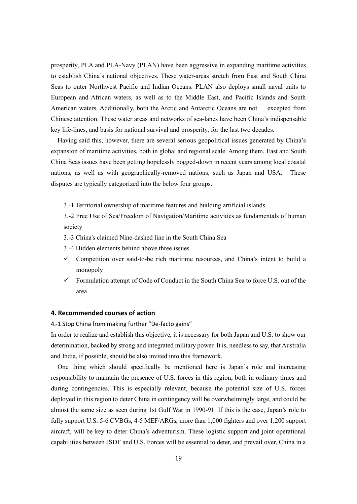prosperity, PLA and PLA-Navy (PLAN) have been aggressive in expanding maritime activities to establish China's national objectives. These water-areas stretch from East and South China Seas to outer Northwest Pacific and Indian Oceans. PLAN also deploys small naval units to European and African waters, as well as to the Middle East, and Pacific Islands and South American waters. Additionally, both the Arctic and Antarctic Oceans are not excepted from Chinese attention. These water areas and networks of sea-lanes have been China's indispensable key life-lines, and basis for national survival and prosperity, for the last two decades.

Having said this, however, there are several serious geopolitical issues generated by China's expansion of maritime activities, both in global and regional scale. Among them, East and South China Seas issues have been getting hopelessly bogged-down in recent years among local coastal nations, as well as with geographically-removed nations, such as Japan and USA. These disputes are typically categorized into the below four groups.

3.-1 Territorial ownership of maritime features and building artificial islands

3.-2 Free Use of Sea/Freedom of Navigation/Maritime activities as fundamentals of human society

- 3.-3 China's claimed Nine-dashed line in the South China Sea
- 3.-4 Hidden elements behind above three issues
- $\checkmark$  Competition over said-to-be rich maritime resources, and China's intent to build a monopoly
- $\checkmark$  Formulation attempt of Code of Conduct in the South China Sea to force U.S. out of the area

#### **4. Recommended courses of action**

4.-1 Stop China from making further "De-facto gains"

In order to realize and establish this objective, it is necessary for both Japan and U.S. to show our determination, backed by strong and integrated military power. It is, needless to say, that Australia and India, if possible, should be also invited into this framework.

One thing which should specifically be mentioned here is Japan's role and increasing responsibility to maintain the presence of U.S. forces in this region, both in ordinary times and during contingencies. This is especially relevant, because the potential size of U.S. forces deployed in this region to deter China in contingency will be overwhelmingly large, and could be almost the same size as seen during 1st Gulf War in 1990-91. If this is the case, Japan's role to fully support U.S. 5-6 CVBGs, 4-5 MEF/ARGs, more than 1,000 fighters and over 1,200 support aircraft, will be key to deter China's adventurism. These logistic support and joint operational capabilities between JSDF and U.S. Forces will be essential to deter, and prevail over, China in a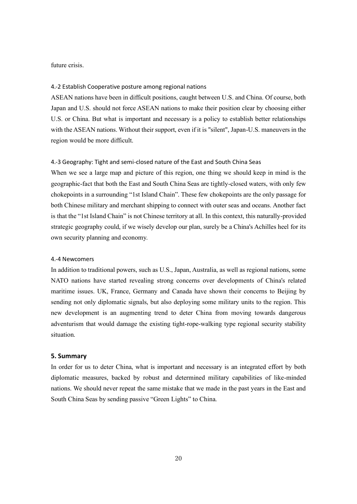#### future crisis.

#### 4.-2 Establish Cooperative posture among regional nations

ASEAN nations have been in difficult positions, caught between U.S. and China. Of course, both Japan and U.S. should not force ASEAN nations to make their position clear by choosing either U.S. or China. But what is important and necessary is a policy to establish better relationships with the ASEAN nations. Without their support, even if it is "silent", Japan-U.S. maneuvers in the region would be more difficult.

#### 4.-3 Geography: Tight and semi-closed nature of the East and South China Seas

When we see a large map and picture of this region, one thing we should keep in mind is the geographic-fact that both the East and South China Seas are tightly-closed waters, with only few chokepoints in a surrounding "1st Island Chain". These few chokepoints are the only passage for both Chinese military and merchant shipping to connect with outer seas and oceans. Another fact is that the "1st Island Chain" is not Chinese territory at all. In this context, this naturally-provided strategic geography could, if we wisely develop our plan, surely be a China's Achilles heel for its own security planning and economy.

#### 4.-4 Newcomers

In addition to traditional powers, such as U.S., Japan, Australia, as well as regional nations, some NATO nations have started revealing strong concerns over developments of China's related maritime issues. UK, France, Germany and Canada have shown their concerns to Beijing by sending not only diplomatic signals, but also deploying some military units to the region. This new development is an augmenting trend to deter China from moving towards dangerous adventurism that would damage the existing tight-rope-walking type regional security stability situation.

#### **5. Summary**

In order for us to deter China, what is important and necessary is an integrated effort by both diplomatic measures, backed by robust and determined military capabilities of like-minded nations. We should never repeat the same mistake that we made in the past years in the East and South China Seas by sending passive "Green Lights" to China.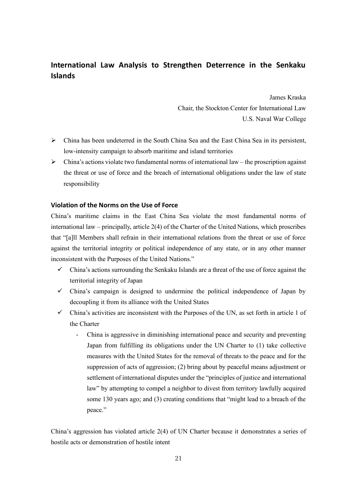## **International Law Analysis to Strengthen Deterrence in the Senkaku Islands**

James Kraska Chair, the Stockton Center for International Law U.S. Naval War College

- ➢ China has been undeterred in the South China Sea and the East China Sea in its persistent, low-intensity campaign to absorb maritime and island territories
- $\triangleright$  China's actions violate two fundamental norms of international law the proscription against the threat or use of force and the breach of international obligations under the law of state responsibility

#### **Violation of the Norms on the Use of Force**

China's maritime claims in the East China Sea violate the most fundamental norms of international law – principally, article 2(4) of the Charter of the United Nations, which proscribes that "[a]ll Members shall refrain in their international relations from the threat or use of force against the territorial integrity or political independence of any state, or in any other manner inconsistent with the Purposes of the United Nations."

- $\checkmark$  China's actions surrounding the Senkaku Islands are a threat of the use of force against the territorial integrity of Japan
- $\checkmark$  China's campaign is designed to undermine the political independence of Japan by decoupling it from its alliance with the United States
- $\checkmark$  China's activities are inconsistent with the Purposes of the UN, as set forth in article 1 of the Charter
	- China is aggressive in diminishing international peace and security and preventing Japan from fulfilling its obligations under the UN Charter to (1) take collective measures with the United States for the removal of threats to the peace and for the suppression of acts of aggression; (2) bring about by peaceful means adjustment or settlement of international disputes under the "principles of justice and international law" by attempting to compel a neighbor to divest from territory lawfully acquired some 130 years ago; and (3) creating conditions that "might lead to a breach of the peace."

China's aggression has violated article 2(4) of UN Charter because it demonstrates a series of hostile acts or demonstration of hostile intent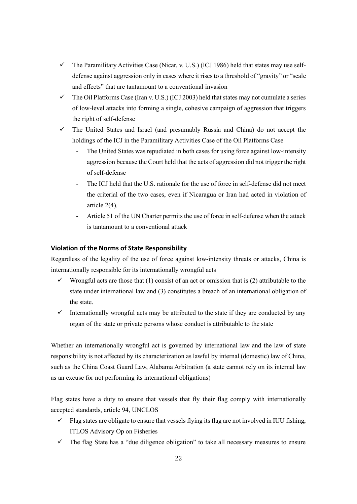- $\checkmark$  The Paramilitary Activities Case (Nicar. v. U.S.) (ICJ 1986) held that states may use selfdefense against aggression only in cases where it rises to a threshold of "gravity" or "scale and effects" that are tantamount to a conventional invasion
- $\checkmark$  The Oil Platforms Case (Iran v. U.S.) (ICJ 2003) held that states may not cumulate a series of low-level attacks into forming a single, cohesive campaign of aggression that triggers the right of self-defense
- ✓ The United States and Israel (and presumably Russia and China) do not accept the holdings of the ICJ in the Paramilitary Activities Case of the Oil Platforms Case
	- The United States was repudiated in both cases for using force against low-intensity aggression because the Court held that the acts of aggression did not trigger the right of self-defense
	- The ICJ held that the U.S. rationale for the use of force in self-defense did not meet the criterial of the two cases, even if Nicaragua or Iran had acted in violation of article 2(4).
	- Article 51 of the UN Charter permits the use of force in self-defense when the attack is tantamount to a conventional attack

#### **Violation of the Norms of State Responsibility**

Regardless of the legality of the use of force against low-intensity threats or attacks, China is internationally responsible for its internationally wrongful acts

- $\checkmark$  Wrongful acts are those that (1) consist of an act or omission that is (2) attributable to the state under international law and (3) constitutes a breach of an international obligation of the state.
- $\checkmark$  Internationally wrongful acts may be attributed to the state if they are conducted by any organ of the state or private persons whose conduct is attributable to the state

Whether an internationally wrongful act is governed by international law and the law of state responsibility is not affected by its characterization as lawful by internal (domestic) law of China, such as the China Coast Guard Law, Alabama Arbitration (a state cannot rely on its internal law as an excuse for not performing its international obligations)

Flag states have a duty to ensure that vessels that fly their flag comply with internationally accepted standards, article 94, UNCLOS

- $\checkmark$  Flag states are obligate to ensure that vessels flying its flag are not involved in IUU fishing, ITLOS Advisory Op on Fisheries
- $\checkmark$  The flag State has a "due diligence obligation" to take all necessary measures to ensure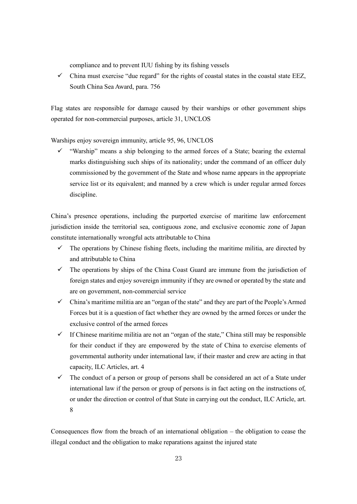compliance and to prevent IUU fishing by its fishing vessels

 $\checkmark$  China must exercise "due regard" for the rights of coastal states in the coastal state EEZ, South China Sea Award, para. 756

Flag states are responsible for damage caused by their warships or other government ships operated for non-commercial purposes, article 31, UNCLOS

Warships enjoy sovereign immunity, article 95, 96, UNCLOS

 $\checkmark$  "Warship" means a ship belonging to the armed forces of a State; bearing the external marks distinguishing such ships of its nationality; under the command of an officer duly commissioned by the government of the State and whose name appears in the appropriate service list or its equivalent; and manned by a crew which is under regular armed forces discipline.

China's presence operations, including the purported exercise of maritime law enforcement jurisdiction inside the territorial sea, contiguous zone, and exclusive economic zone of Japan constitute internationally wrongful acts attributable to China

- $\checkmark$  The operations by Chinese fishing fleets, including the maritime militia, are directed by and attributable to China
- $\checkmark$  The operations by ships of the China Coast Guard are immune from the jurisdiction of foreign states and enjoy sovereign immunity if they are owned or operated by the state and are on government, non-commercial service
- ✓ China's maritime militia are an "organ of the state" and they are part of the People's Armed Forces but it is a question of fact whether they are owned by the armed forces or under the exclusive control of the armed forces
- $\checkmark$  If Chinese maritime militia are not an "organ of the state," China still may be responsible for their conduct if they are empowered by the state of China to exercise elements of governmental authority under international law, if their master and crew are acting in that capacity, ILC Articles, art. 4
- $\checkmark$  The conduct of a person or group of persons shall be considered an act of a State under international law if the person or group of persons is in fact acting on the instructions of, or under the direction or control of that State in carrying out the conduct, ILC Article, art. 8

Consequences flow from the breach of an international obligation – the obligation to cease the illegal conduct and the obligation to make reparations against the injured state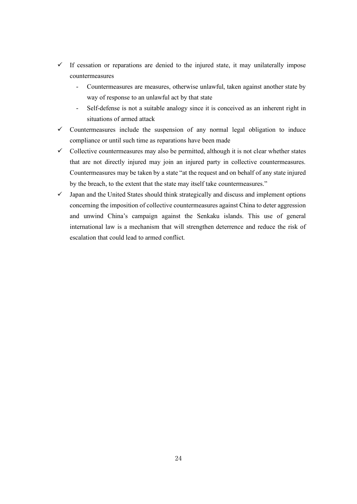- $\checkmark$  If cessation or reparations are denied to the injured state, it may unilaterally impose countermeasures
	- Countermeasures are measures, otherwise unlawful, taken against another state by way of response to an unlawful act by that state
	- Self-defense is not a suitable analogy since it is conceived as an inherent right in situations of armed attack
- $\checkmark$  Countermeasures include the suspension of any normal legal obligation to induce compliance or until such time as reparations have been made
- $\checkmark$  Collective countermeasures may also be permitted, although it is not clear whether states that are not directly injured may join an injured party in collective countermeasures. Countermeasures may be taken by a state "at the request and on behalf of any state injured by the breach, to the extent that the state may itself take countermeasures."
- ✓ Japan and the United States should think strategically and discuss and implement options concerning the imposition of collective countermeasures against China to deter aggression and unwind China's campaign against the Senkaku islands. This use of general international law is a mechanism that will strengthen deterrence and reduce the risk of escalation that could lead to armed conflict.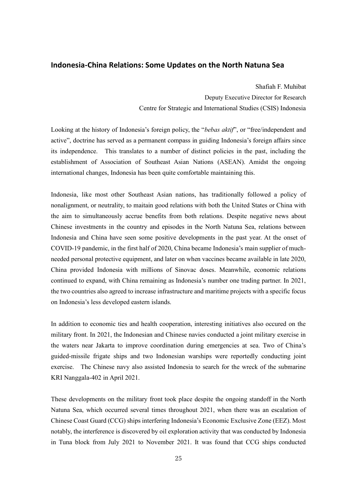#### **Indonesia-China Relations: Some Updates on the North Natuna Sea**

Shafiah F. Muhibat Deputy Executive Director for Research Centre for Strategic and International Studies (CSIS) Indonesia

Looking at the history of Indonesia's foreign policy, the "*bebas aktif*", or "free/independent and active", doctrine has served as a permanent compass in guiding Indonesia's foreign affairs since its independence. This translates to a number of distinct policies in the past, including the establishment of Association of Southeast Asian Nations (ASEAN). Amidst the ongoing international changes, Indonesia has been quite comfortable maintaining this.

Indonesia, like most other Southeast Asian nations, has traditionally followed a policy of nonalignment, or neutrality, to maitain good relations with both the United States or China with the aim to simultaneously accrue benefits from both relations. Despite negative news about Chinese investments in the country and episodes in the North Natuna Sea, relations between Indonesia and China have seen some positive developments in the past year. At the onset of COVID-19 pandemic, in the first half of 2020, China became Indonesia's main supplier of muchneeded personal protective equipment, and later on when vaccines became available in late 2020, China provided Indonesia with millions of Sinovac doses. Meanwhile, economic relations continued to expand, with China remaining as Indonesia's number one trading partner. In 2021, the two countries also agreed to increase infrastructure and maritime projects with a specific focus on Indonesia's less developed eastern islands.

In addition to economic ties and health cooperation, interesting initiatives also occured on the military front. In 2021, the Indonesian and Chinese navies conducted a joint military exercise in the waters near Jakarta to improve coordination during emergencies at sea. Two of China's guided-missile frigate ships and two Indonesian warships were reportedly conducting joint exercise. The Chinese navy also assisted Indonesia to search for the wreck of the submarine KRI Nanggala-402 in April 2021.

These developments on the military front took place despite the ongoing standoff in the North Natuna Sea, which occurred several times throughout 2021, when there was an escalation of Chinese Coast Guard (CCG) ships interfering Indonesia's Economic Exclusive Zone (EEZ). Most notably, the interference is discovered by oil exploration activity that was conducted by Indonesia in Tuna block from July 2021 to November 2021. It was found that CCG ships conducted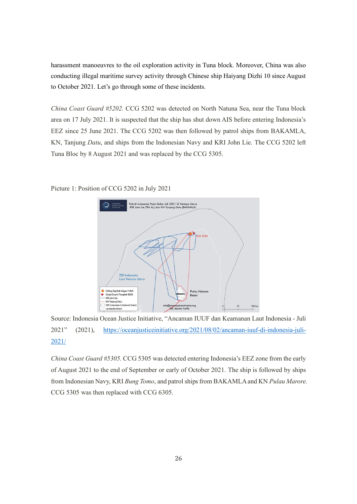harassment manoeuvres to the oil exploration activity in Tuna block. Moreover, China was also conducting illegal maritime survey activity through Chinese ship Haiyang Dizhi 10 since August to October 2021. Let's go through some of these incidents.

*China Coast Guard #5202.* CCG 5202 was detected on North Natuna Sea, near the Tuna block area on 17 July 2021. It is suspected that the ship has shut down AIS before entering Indonesia's EEZ since 25 June 2021. The CCG 5202 was then followed by patrol ships from BAKAMLA, KN, Tanjung *Datu*, and ships from the Indonesian Navy and KRI John Lie. The CCG 5202 left Tuna Bloc by 8 August 2021 and was replaced by the CCG 5305.

> .<br>Patroli Indonesia Pada Bulan Juli 2021 Di Natuna Utarc<br>KRI John Lie (TNI AL) dan KN Tanjung Datu (BAKAMLA)  $-6.5202$ ZEE Indone<br>Laut Natun ● Drilling Rig Blok Migas TUNA<br>► Coast Guard Tiongkok 5202<br>— KRI John Lie **Pulau Natunc**  $R_{\text{max}}$ — KN Tanjung Datu<br>\_\_<br>\_\_ ZEE Indonesia (Unila info@oceanjusticeinitiative.org<br>AlS: Marine Traffic Landas Konti

Picture 1: Position of CCG 5202 in July 2021

Source: Indonesia Ocean Justice Initiative, "Ancaman IUUF dan Keamanan Laut Indonesia - Juli 2021" (2021), [https://oceanjusticeinitiative.org/2021/08/02/ancaman-iuuf-di-indonesia-juli-](https://oceanjusticeinitiative.org/2021/08/02/ancaman-iuuf-di-indonesia-juli-2021/)[2021/](https://oceanjusticeinitiative.org/2021/08/02/ancaman-iuuf-di-indonesia-juli-2021/)

*China Coast Guard #5305.* CCG 5305 was detected entering Indonesia's EEZ zone from the early of August 2021 to the end of September or early of October 2021. The ship is followed by ships from Indonesian Navy, KRI *Bung Tomo*, and patrol ships from BAKAMLA and KN *Pulau Marore.* CCG 5305 was then replaced with CCG 6305.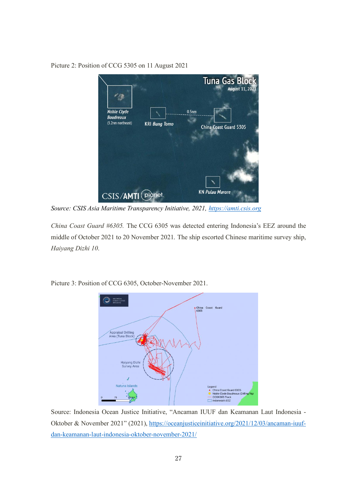Tuna Gas Bloc ugust 11, 202 **Noble Clyde**  $0.5<sub>nm</sub>$ **Boudreaux** (3.2nm northeast) **KRI Bung Tomo** China Coast Guard 5305 CSIS/AMTI *planet*. **KN Pulau Marore** 

Picture 2: Position of CCG 5305 on 11 August 2021

*Source: CSIS Asia Maritime Transparency Initiative, 2021, [https://amti.csis.org](https://amti.csis.org/)*

*China Coast Guard #6305.* The CCG 6305 was detected entering Indonesia's EEZ around the middle of October 2021 to 20 November 2021*.* The ship escorted Chinese maritime survey ship, *Haiyang Dizhi 10*.



Picture 3: Position of CCG 6305, October-November 2021.

Source: Indonesia Ocean Justice Initiative, "Ancaman IUUF dan Keamanan Laut Indonesia - Oktober & November 2021" (2021), [https://oceanjusticeinitiative.org/2021/12/03/ancaman-iuuf](https://oceanjusticeinitiative.org/2021/12/03/ancaman-iuuf-dan-keamanan-laut-indonesia-oktober-november-2021/)[dan-keamanan-laut-indonesia-oktober-november-2021/](https://oceanjusticeinitiative.org/2021/12/03/ancaman-iuuf-dan-keamanan-laut-indonesia-oktober-november-2021/)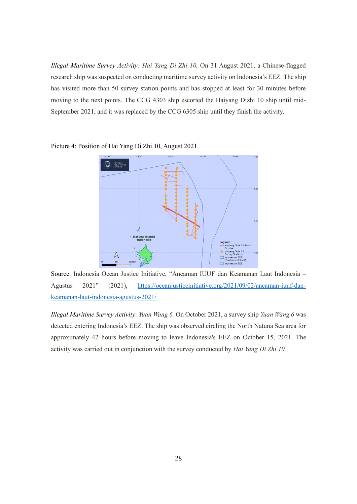*Illegal Maritime Survey Activity: Hai Yang Di Zhi 10.* On 31 August 2021, a Chinese-flagged research ship was suspected on conducting maritime survey activity on Indonesia's EEZ. The ship has visited more than 50 survey station points and has stopped at least for 30 minutes before moving to the next points. The CCG 4303 ship escorted the Haiyang Dizhi 10 ship until mid-September 2021, and it was replaced by the CCG 6305 ship until they finish the activity.



Picture 4: Position of Hai Yang Di Zhi 10, August 2021

Source: Indonesia Ocean Justice Initiative, "Ancaman IUUF dan Keamanan Laut Indonesia – Agustus 2021" (2021), [https://oceanjusticeinitiative.org/2021/09/02/ancaman-iuuf-dan](https://oceanjusticeinitiative.org/2021/09/02/ancaman-iuuf-dan-keamanan-laut-indonesia-agustus-2021/)[keamanan-laut-indonesia-agustus-2021/](https://oceanjusticeinitiative.org/2021/09/02/ancaman-iuuf-dan-keamanan-laut-indonesia-agustus-2021/)

*Illegal Maritime Survey Activity*: *Yuan Wang 6.* On October 2021, a survey ship *Yuan Wang 6* was detected entering Indonesia's EEZ. The ship was observed circling the North Natuna Sea area for approximately 42 hours before moving to leave Indonesia's EEZ on October 15, 2021. The activity was carried out in conjunction with the survey conducted by *Hai Yang Di Zhi 10.*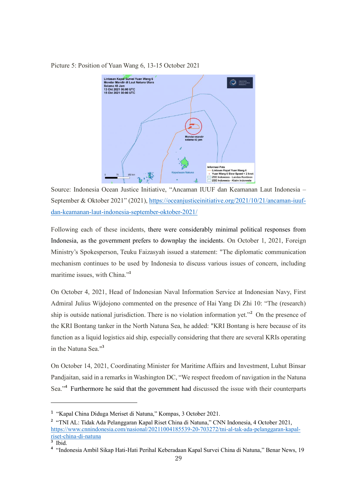Picture 5: Position of Yuan Wang 6, 13-15 October 2021



Source: Indonesia Ocean Justice Initiative, "Ancaman IUUF dan Keamanan Laut Indonesia – September & Oktober 2021" (2021)[, https://oceanjusticeinitiative.org/2021/10/21/ancaman-iuuf](https://oceanjusticeinitiative.org/2021/10/21/ancaman-iuuf-dan-keamanan-laut-indonesia-september-oktober-2021/)[dan-keamanan-laut-indonesia-september-oktober-2021/](https://oceanjusticeinitiative.org/2021/10/21/ancaman-iuuf-dan-keamanan-laut-indonesia-september-oktober-2021/)

Following each of these incidents, there were considerably minimal political responses from Indonesia, as the government prefers to downplay the incidents. On October 1, 2021, Foreign Ministry's Spokesperson, Teuku Faizasyah issued a statement: "The diplomatic communication mechanism continues to be used by Indonesia to discuss various issues of concern, including maritime issues, with China."**<sup>1</sup>**

On October 4, 2021, Head of Indonesian Naval Information Service at Indonesian Navy, First Admiral Julius Wijdojono commented on the presence of Hai Yang Di Zhi 10: "The (research) ship is outside national jurisdiction. There is no violation information yet."**<sup>2</sup>** On the presence of the KRI Bontang tanker in the North Natuna Sea, he added: "KRI Bontang is here because of its function as a liquid logistics aid ship, especially considering that there are several KRIs operating in the Natuna Sea."**<sup>3</sup>**

On October 14, 2021, Coordinating Minister for Maritime Affairs and Investment, Luhut Binsar Pandjaitan, said in a remarks in Washington DC, "We respect freedom of navigation in the Natuna Sea."<sup>4</sup> Furthermore he said that the government had discussed the issue with their counterparts

<sup>1</sup> "Kapal China Diduga Meriset di Natuna," Kompas, 3 October 2021.

**<sup>2</sup>** "TNI AL: Tidak Ada Pelanggaran Kapal Riset China di Natuna," CNN Indonesia, 4 October 2021, [https://www.cnnindonesia.com/nasional/20211004185539-20-703272/tni-al-tak-ada-pelanggaran-kapal](https://www.cnnindonesia.com/nasional/20211004185539-20-703272/tni-al-tak-ada-pelanggaran-kapal-riset-china-di-natuna)[riset-china-di-natuna](https://www.cnnindonesia.com/nasional/20211004185539-20-703272/tni-al-tak-ada-pelanggaran-kapal-riset-china-di-natuna) 

**<sup>3</sup>** Ibid.

**<sup>4</sup>** "Indonesia Ambil Sikap Hati-Hati Perihal Keberadaan Kapal Survei China di Natuna," Benar News, 19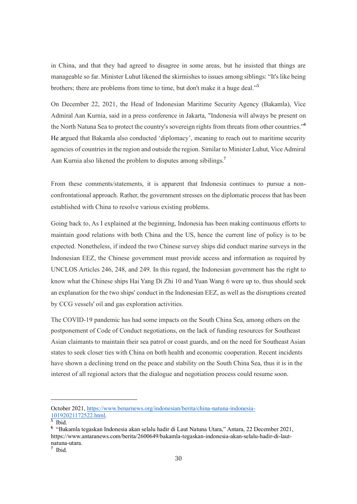in China, and that they had agreed to disagree in some areas, but he insisted that things are manageable so far. Minister Luhut likened the skirmishes to issues among siblings: "It's like being brothers; there are problems from time to time, but don't make it a huge deal."**<sup>5</sup>**

On December 22, 2021, the Head of Indonesian Maritime Security Agency (Bakamla), Vice Admiral Aan Kurnia, said in a press conference in Jakarta, "Indonesia will always be present on the North Natuna Sea to protect the country's sovereign rights from threats from other countries."**<sup>6</sup>** He argued that Bakamla also conducted 'diplomacy', meaning to reach out to maritime security agencies of countries in the region and outside the region. Similar to Minister Luhut, Vice Admiral Aan Kurnia also likened the problem to disputes among sibilings.**<sup>7</sup>**

From these comments/statements, it is apparent that Indonesia continues to pursue a nonconfrontational approach. Rather, the government stresses on the diplomatic process that has been established with China to resolve various existing problems.

Going back to, As I explained at the beginning, Indonesia has been making continuous efforts to maintain good relations with both China and the US, hence the current line of policy is to be expected. Nonetheless, if indeed the two Chinese survey ships did conduct marine surveys in the Indonesian EEZ, the Chinese government must provide access and information as required by UNCLOS Articles 246, 248, and 249. In this regard, the Indonesian government has the right to know what the Chinese ships Hai Yang Di Zhi 10 and Yuan Wang 6 were up to, thus should seek an explanation for the two ships' conduct in the Indonesian EEZ, as well as the disruptions created by CCG vessels' oil and gas exploration activities.

The COVID-19 pandemic has had some impacts on the South China Sea, among others on the postponement of Code of Conduct negotiations, on the lack of funding resources for Southeast Asian claimants to maintain their sea patrol or coast guards, and on the need for Southeast Asian states to seek closer ties with China on both health and economic cooperation. Recent incidents have shown a declining trend on the peace and stability on the South China Sea, thus it is in the interest of all regional actors that the dialogue and negotiation process could resume soon.

October 2021, [https://www.benarnews.org/indonesian/berita/china-natuna-indonesia-](https://www.benarnews.org/indonesian/berita/china-natuna-indonesia-10192021172522.html)[10192021172522.html.](https://www.benarnews.org/indonesian/berita/china-natuna-indonesia-10192021172522.html)

**<sup>5</sup>** Ibid.

**<sup>6</sup>** "Bakamla tegaskan Indonesia akan selalu hadir di Laut Natuna Utara," Antara, 22 December 2021, https://www.antaranews.com/berita/2600649/bakamla-tegaskan-indonesia-akan-selalu-hadir-di-lautnatuna-utara.

**<sup>7</sup>** Ibid.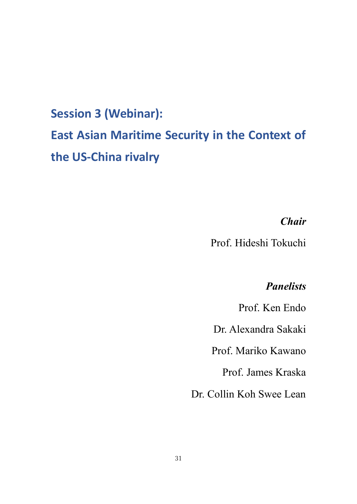# **Session 3 (Webinar): East Asian Maritime Security in the Context of the US-China rivalry**

## *Chair*

Prof. Hideshi Tokuchi

## *Panelists*

Prof. Ken Endo

Dr. Alexandra Sakaki

Prof. Mariko Kawano

Prof. James Kraska

Dr. Collin Koh Swee Lean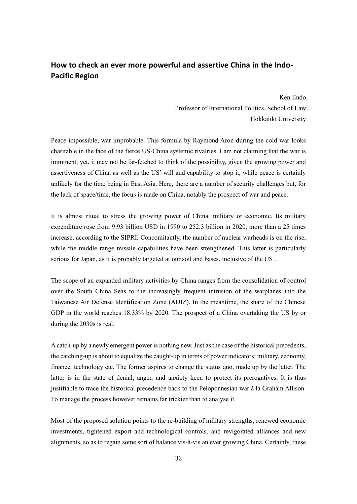## **How to check an ever more powerful and assertive China in the Indo-Pacific Region**

Ken Endo Professor of International Politics, School of Law Hokkaido University

Peace impossible, war improbable. This formula by Raymond Aron during the cold war looks charitable in the face of the fierce US-China systemic rivalries. I am not claiming that the war is imminent; yet, it may not be far-fetched to think of the possibility, given the growing power and assertiveness of China as well as the US' will and capability to stop it, while peace is certainly unlikely for the time being in East Asia. Here, there are a number of security challenges but, for the lack of space/time, the focus is made on China, notably the prospect of war and peace.

It is almost ritual to stress the growing power of China, military or economic. Its military expenditure rose from 9.93 billion USD in 1990 to 252.3 billion in 2020, more than a 25 times increase, according to the SIPRI. Concomitantly, the number of nuclear warheads is on the rise, while the middle range missile capabilities have been strengthened. This latter is particularly serious for Japan, as it is probably targeted at our soil and bases, inclusive of the US'.

The scope of an expanded military activities by China ranges from the consolidation of control over the South China Seas to the increasingly frequent intrusion of the warplanes into the Taiwanese Air Defense Identification Zone (ADIZ). In the meantime, the share of the Chinese GDP in the world reaches 18.33% by 2020. The prospect of a China overtaking the US by or during the 2030s is real.

A catch-up by a newly emergent power is nothing new. Just as the case of the historical precedents, the catching-up is about to equalize the caught-up in terms of power indicators: military, economy, finance, technology etc. The former aspires to change the status quo, made up by the latter. The latter is in the state of denial, anger, and anxiety keen to protect its prerogatives. It is thus justifiable to trace the historical precedence back to the Peloponnesian war à la Graham Allison. To manage the process however remains far trickier than to analyse it.

Most of the proposed solution points to the re-building of military strengths, renewed economic investments, tightened export and technological controls, and revigorated alliances and new alignments, so as to regain some sort of balance vis-à-vis an ever growing China. Certainly, these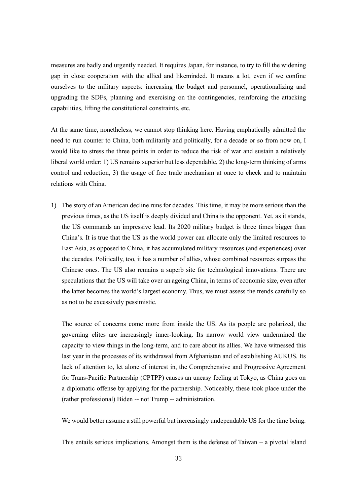measures are badly and urgently needed. It requires Japan, for instance, to try to fill the widening gap in close cooperation with the allied and likeminded. It means a lot, even if we confine ourselves to the military aspects: increasing the budget and personnel, operationalizing and upgrading the SDFs, planning and exercising on the contingencies, reinforcing the attacking capabilities, lifting the constitutional constraints, etc.

At the same time, nonetheless, we cannot stop thinking here. Having emphatically admitted the need to run counter to China, both militarily and politically, for a decade or so from now on, I would like to stress the three points in order to reduce the risk of war and sustain a relatively liberal world order: 1) US remains superior but less dependable, 2) the long-term thinking of arms control and reduction, 3) the usage of free trade mechanism at once to check and to maintain relations with China.

1) The story of an American decline runs for decades. This time, it may be more serious than the previous times, as the US itself is deeply divided and China is the opponent. Yet, as it stands, the US commands an impressive lead. Its 2020 military budget is three times bigger than China's. It is true that the US as the world power can allocate only the limited resources to East Asia, as opposed to China, it has accumulated military resources (and experiences) over the decades. Politically, too, it has a number of allies, whose combined resources surpass the Chinese ones. The US also remains a superb site for technological innovations. There are speculations that the US will take over an ageing China, in terms of economic size, even after the latter becomes the world's largest economy. Thus, we must assess the trends carefully so as not to be excessively pessimistic.

The source of concerns come more from inside the US. As its people are polarized, the governing elites are increasingly inner-looking. Its narrow world view undermined the capacity to view things in the long-term, and to care about its allies. We have witnessed this last year in the processes of its withdrawal from Afghanistan and of establishing AUKUS. Its lack of attention to, let alone of interest in, the Comprehensive and Progressive Agreement for Trans-Pacific Partnership (CPTPP) causes an uneasy feeling at Tokyo, as China goes on a diplomatic offense by applying for the partnership. Noticeably, these took place under the (rather professional) Biden -- not Trump -- administration.

We would better assume a still powerful but increasingly undependable US for the time being.

This entails serious implications. Amongst them is the defense of Taiwan – a pivotal island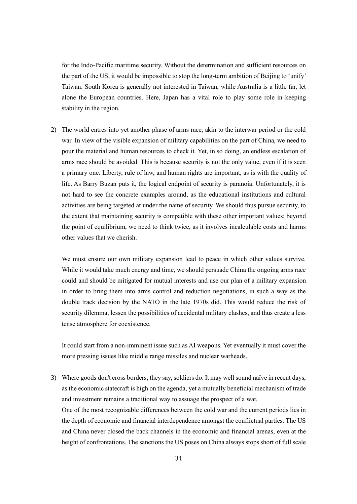for the Indo-Pacific maritime security. Without the determination and sufficient resources on the part of the US, it would be impossible to stop the long-term ambition of Beijing to 'unify' Taiwan. South Korea is generally not interested in Taiwan, while Australia is a little far, let alone the European countries. Here, Japan has a vital role to play some role in keeping stability in the region.

2) The world entres into yet another phase of arms race, akin to the interwar period or the cold war. In view of the visible expansion of military capabilities on the part of China, we need to pour the material and human resources to check it. Yet, in so doing, an endless escalation of arms race should be avoided. This is because security is not the only value, even if it is seen a primary one. Liberty, rule of law, and human rights are important, as is with the quality of life. As Barry Buzan puts it, the logical endpoint of security is paranoia. Unfortunately, it is not hard to see the concrete examples around, as the educational institutions and cultural activities are being targeted at under the name of security. We should thus pursue security, to the extent that maintaining security is compatible with these other important values; beyond the point of equilibrium, we need to think twice, as it involves incalculable costs and harms other values that we cherish.

We must ensure our own military expansion lead to peace in which other values survive. While it would take much energy and time, we should persuade China the ongoing arms race could and should be mitigated for mutual interests and use our plan of a military expansion in order to bring them into arms control and reduction negotiations, in such a way as the double track decision by the NATO in the late 1970s did. This would reduce the risk of security dilemma, lessen the possibilities of accidental military clashes, and thus create a less tense atmosphere for coexistence.

It could start from a non-imminent issue such as AI weapons. Yet eventually it must cover the more pressing issues like middle range missiles and nuclear warheads.

3) Where goods don't cross borders, they say, soldiers do. It may well sound naïve in recent days, as the economic statecraft is high on the agenda, yet a mutually beneficial mechanism of trade and investment remains a traditional way to assuage the prospect of a war. One of the most recognizable differences between the cold war and the current periods lies in the depth of economic and financial interdependence amongst the conflictual parties. The US and China never closed the back channels in the economic and financial arenas, even at the height of confrontations. The sanctions the US poses on China always stops short of full scale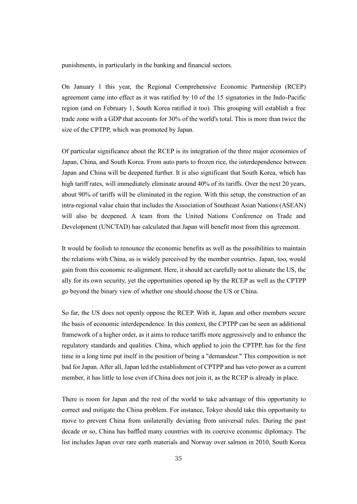punishments, in particularly in the banking and financial sectors.

On January 1 this year, the Regional Comprehensive Economic Partnership (RCEP) agreement came into effect as it was ratified by 10 of the 15 signatories in the Indo-Pacific region (and on February 1, South Korea ratified it too). This grouping will establish a free trade zone with a GDP that accounts for 30% of the world's total. This is more than twice the size of the CPTPP, which was promoted by Japan.

Of particular significance about the RCEP is its integration of the three major economies of Japan, China, and South Korea. From auto parts to frozen rice, the interdependence between Japan and China will be deepened further. It is also significant that South Korea, which has high tariff rates, will immediately eliminate around 40% of its tariffs. Over the next 20 years, about 90% of tariffs will be eliminated in the region. With this setup, the construction of an intra-regional value chain that includes the Association of Southeast Asian Nations (ASEAN) will also be deepened. A team from the United Nations Conference on Trade and Development (UNCTAD) has calculated that Japan will benefit most from this agreement.

It would be foolish to renounce the economic benefits as well as the possibilities to maintain the relations with China, as is widely perceived by the member countries. Japan, too, would gain from this economic re-alignment. Here, it should act carefully not to alienate the US, the ally for its own security, yet the opportunities opened up by the RCEP as well as the CPTPP go beyond the binary view of whether one should choose the US or China.

So far, the US does not openly oppose the RCEP. With it, Japan and other members secure the basis of economic interdependence. In this context, the CPTPP can be seen an additional framework of a higher order, as it aims to reduce tariffs more aggressively and to enhance the regulatory standards and qualities. China, which applied to join the CPTPP, has for the first time in a long time put itself in the position of being a "demandeur." This composition is not bad for Japan. After all, Japan led the establishment of CPTPP and has veto power as a current member, it has little to lose even if China does not join it, as the RCEP is already in place.

There is room for Japan and the rest of the world to take advantage of this opportunity to correct and mitigate the China problem. For instance, Tokyo should take this opportunity to move to prevent China from unilaterally deviating from universal rules. During the past decade or so, China has baffled many countries with its coercive economic diplomacy. The list includes Japan over rare earth materials and Norway over salmon in 2010, South Korea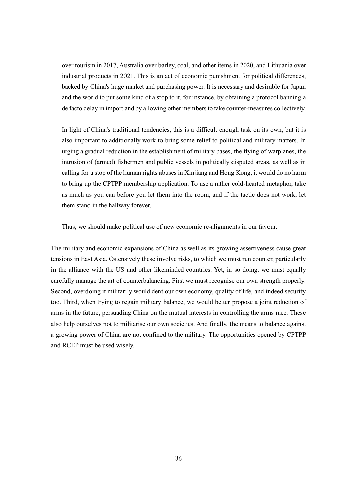over tourism in 2017, Australia over barley, coal, and other items in 2020, and Lithuania over industrial products in 2021. This is an act of economic punishment for political differences, backed by China's huge market and purchasing power. It is necessary and desirable for Japan and the world to put some kind of a stop to it, for instance, by obtaining a protocol banning a de facto delay in import and by allowing other members to take counter-measures collectively.

In light of China's traditional tendencies, this is a difficult enough task on its own, but it is also important to additionally work to bring some relief to political and military matters. In urging a gradual reduction in the establishment of military bases, the flying of warplanes, the intrusion of (armed) fishermen and public vessels in politically disputed areas, as well as in calling for a stop of the human rights abuses in Xinjiang and Hong Kong, it would do no harm to bring up the CPTPP membership application. To use a rather cold-hearted metaphor, take as much as you can before you let them into the room, and if the tactic does not work, let them stand in the hallway forever.

Thus, we should make political use of new economic re-alignments in our favour.

The military and economic expansions of China as well as its growing assertiveness cause great tensions in East Asia. Ostensively these involve risks, to which we must run counter, particularly in the alliance with the US and other likeminded countries. Yet, in so doing, we must equally carefully manage the art of counterbalancing. First we must recognise our own strength properly. Second, overdoing it militarily would dent our own economy, quality of life, and indeed security too. Third, when trying to regain military balance, we would better propose a joint reduction of arms in the future, persuading China on the mutual interests in controlling the arms race. These also help ourselves not to militarise our own societies. And finally, the means to balance against a growing power of China are not confined to the military. The opportunities opened by CPTPP and RCEP must be used wisely.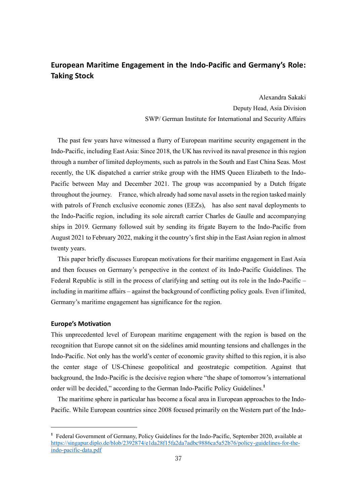### **European Maritime Engagement in the Indo-Pacific and Germany's Role: Taking Stock**

Alexandra Sakaki Deputy Head, Asia Division SWP/ German Institute for International and Security Affairs

The past few years have witnessed a flurry of European maritime security engagement in the Indo-Pacific, including East Asia: Since 2018, the UK has revived its naval presence in this region through a number of limited deployments, such as patrols in the South and East China Seas. Most recently, the UK dispatched a carrier strike group with the HMS Queen Elizabeth to the Indo-Pacific between May and December 2021. The group was accompanied by a Dutch frigate throughout the journey. France, which already had some naval assets in the region tasked mainly with patrols of French exclusive economic zones (EEZs), has also sent naval deployments to the Indo-Pacific region, including its sole aircraft carrier Charles de Gaulle and accompanying ships in 2019. Germany followed suit by sending its frigate Bayern to the Indo-Pacific from August 2021 to February 2022, making it the country's first ship in the East Asian region in almost twenty years.

This paper briefly discusses European motivations for their maritime engagement in East Asia and then focuses on Germany's perspective in the context of its Indo-Pacific Guidelines. The Federal Republic is still in the process of clarifying and setting out its role in the Indo-Pacific – including in maritime affairs – against the background of conflicting policy goals. Even if limited, Germany's maritime engagement has significance for the region.

#### **Europe's Motivation**

This unprecedented level of European maritime engagement with the region is based on the recognition that Europe cannot sit on the sidelines amid mounting tensions and challenges in the Indo-Pacific. Not only has the world's center of economic gravity shifted to this region, it is also the center stage of US-Chinese geopolitical and geostrategic competition. Against that background, the Indo-Pacific is the decisive region where "the shape of tomorrow's international order will be decided," according to the German Indo-Pacific Policy Guidelines.**<sup>1</sup>**

The maritime sphere in particular has become a focal area in European approaches to the Indo-Pacific. While European countries since 2008 focused primarily on the Western part of the Indo-

**<sup>1</sup>** Federal Government of Germany, Policy Guidelines for the Indo-Pacific, September 2020, available at [https://singapur.diplo.de/blob/2392874/e1da28f15fa2da7adbc9886ca5a52b76/policy-guidelines-for-the](https://singapur.diplo.de/blob/2392874/e1da28f15fa2da7adbc9886ca5a52b76/policy-guidelines-for-the-indo-pacific-data.pdf)[indo-pacific-data.pdf](https://singapur.diplo.de/blob/2392874/e1da28f15fa2da7adbc9886ca5a52b76/policy-guidelines-for-the-indo-pacific-data.pdf)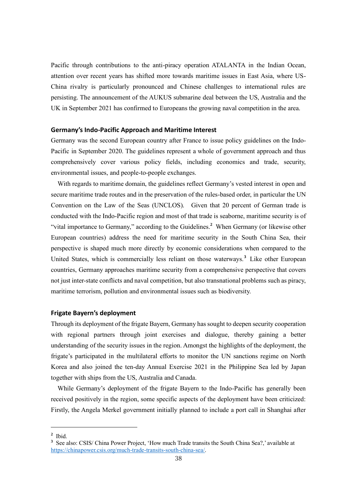Pacific through contributions to the anti-piracy operation ATALANTA in the Indian Ocean, attention over recent years has shifted more towards maritime issues in East Asia, where US-China rivalry is particularly pronounced and Chinese challenges to international rules are persisting. The announcement of the AUKUS submarine deal between the US, Australia and the UK in September 2021 has confirmed to Europeans the growing naval competition in the area.

#### **Germany's Indo-Pacific Approach and Maritime Interest**

Germany was the second European country after France to issue policy guidelines on the Indo-Pacific in September 2020. The guidelines represent a whole of government approach and thus comprehensively cover various policy fields, including economics and trade, security, environmental issues, and people-to-people exchanges.

With regards to maritime domain, the guidelines reflect Germany's vested interest in open and secure maritime trade routes and in the preservation of the rules-based order, in particular the UN Convention on the Law of the Seas (UNCLOS). Given that 20 percent of German trade is conducted with the Indo-Pacific region and most of that trade is seaborne, maritime security is of "vital importance to Germany," according to the Guidelines.**<sup>2</sup>** When Germany (or likewise other European countries) address the need for maritime security in the South China Sea, their perspective is shaped much more directly by economic considerations when compared to the United States, which is commercially less reliant on those waterways.**<sup>3</sup>** Like other European countries, Germany approaches maritime security from a comprehensive perspective that covers not just inter-state conflicts and naval competition, but also transnational problems such as piracy, maritime terrorism, pollution and environmental issues such as biodiversity.

#### **Frigate Bayern's deployment**

Through its deployment of the frigate Bayern, Germany has sought to deepen security cooperation with regional partners through joint exercises and dialogue, thereby gaining a better understanding of the security issues in the region. Amongst the highlights of the deployment, the frigate's participated in the multilateral efforts to monitor the UN sanctions regime on North Korea and also joined the ten-day Annual Exercise 2021 in the Philippine Sea led by Japan together with ships from the US, Australia and Canada.

While Germany's deployment of the frigate Bayern to the Indo-Pacific has generally been received positively in the region, some specific aspects of the deployment have been criticized: Firstly, the Angela Merkel government initially planned to include a port call in Shanghai after

**<sup>2</sup>** Ibid.

**<sup>3</sup>** See also: CSIS/ China Power Project, 'How much Trade transits the South China Sea?,' available at [https://chinapower.csis.org/much-trade-transits-south-china-sea/.](https://chinapower.csis.org/much-trade-transits-south-china-sea/)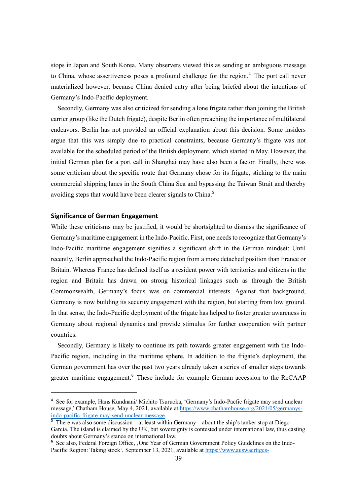stops in Japan and South Korea. Many observers viewed this as sending an ambiguous message to China, whose assertiveness poses a profound challenge for the region.**<sup>4</sup>** The port call never materialized however, because China denied entry after being briefed about the intentions of Germany's Indo-Pacific deployment.

Secondly, Germany was also criticized for sending a lone frigate rather than joining the British carrier group (like the Dutch frigate), despite Berlin often preaching the importance of multilateral endeavors. Berlin has not provided an official explanation about this decision. Some insiders argue that this was simply due to practical constraints, because Germany's frigate was not available for the scheduled period of the British deployment, which started in May. However, the initial German plan for a port call in Shanghai may have also been a factor. Finally, there was some criticism about the specific route that Germany chose for its frigate, sticking to the main commercial shipping lanes in the South China Sea and bypassing the Taiwan Strait and thereby avoiding steps that would have been clearer signals to China.**<sup>5</sup>**

#### **Significance of German Engagement**

While these criticisms may be justified, it would be shortsighted to dismiss the significance of Germany's maritime engagement in the Indo-Pacific. First, one needs to recognize that Germany's Indo-Pacific maritime engagement signifies a significant shift in the German mindset: Until recently, Berlin approached the Indo-Pacific region from a more detached position than France or Britain. Whereas France has defined itself as a resident power with territories and citizens in the region and Britain has drawn on strong historical linkages such as through the British Commonwealth, Germany's focus was on commercial interests. Against that background, Germany is now building its security engagement with the region, but starting from low ground. In that sense, the Indo-Pacific deployment of the frigate has helped to foster greater awareness in Germany about regional dynamics and provide stimulus for further cooperation with partner countries.

Secondly, Germany is likely to continue its path towards greater engagement with the Indo-Pacific region, including in the maritime sphere. In addition to the frigate's deployment, the German government has over the past two years already taken a series of smaller steps towards greater maritime engagement.**<sup>6</sup>** These include for example German accession to the ReCAAP

**<sup>4</sup>** See for example, Hans Kundnani/ Michito Tsuruoka, 'Germany's Indo-Pacfic frigate may send unclear message,' Chatham House, May 4, 2021, available at [https://www.chathamhouse.org/2021/05/germanys](https://www.chathamhouse.org/2021/05/germanys-indo-pacific-frigate-may-send-unclear-message)[indo-pacific-frigate-may-send-unclear-message.](https://www.chathamhouse.org/2021/05/germanys-indo-pacific-frigate-may-send-unclear-message)

<sup>&</sup>lt;sup>5</sup> There was also some discussion – at least within Germany – about the ship's tanker stop at Diego Garcia. The island is claimed by the UK, but sovereignty is contested under international law, thus casting doubts about Germany's stance on international law.

**<sup>6</sup>** See also, Federal Foreign Office, 'One Year of German Government Policy Guidelines on the Indo-Pacific Region: Taking stock', September 13, 2021, available at [https://www.auswaertiges-](https://www.auswaertiges-amt.de/en/aussenpolitik/regionaleschwerpunkte/asien/indo-pazifik-leitlinien-fortschritt/2481700)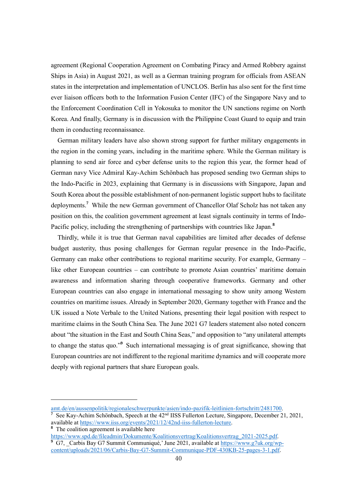agreement (Regional Cooperation Agreement on Combating Piracy and Armed Robbery against Ships in Asia) in August 2021, as well as a German training program for officials from ASEAN states in the interpretation and implementation of UNCLOS. Berlin has also sent for the first time ever liaison officers both to the Information Fusion Center (IFC) of the Singapore Navy and to the Enforcement Coordination Cell in Yokosuka to monitor the UN sanctions regime on North Korea. And finally, Germany is in discussion with the Philippine Coast Guard to equip and train them in conducting reconnaissance.

German military leaders have also shown strong support for further military engagements in the region in the coming years, including in the maritime sphere. While the German military is planning to send air force and cyber defense units to the region this year, the former head of German navy Vice Admiral Kay-Achim Schönbach has proposed sending two German ships to the Indo-Pacific in 2023, explaining that Germany is in discussions with Singapore, Japan and South Korea about the possible establishment of non-permanent logistic support hubs to facilitate deployments.**<sup>7</sup>** While the new German government of Chancellor Olaf Scholz has not taken any position on this, the coalition government agreement at least signals continuity in terms of Indo-Pacific policy, including the strengthening of partnerships with countries like Japan.**<sup>8</sup>**

Thirdly, while it is true that German naval capabilities are limited after decades of defense budget austerity, thus posing challenges for German regular presence in the Indo-Pacific, Germany can make other contributions to regional maritime security. For example, Germany – like other European countries – can contribute to promote Asian countries' maritime domain awareness and information sharing through cooperative frameworks. Germany and other European countries can also engage in international messaging to show unity among Western countries on maritime issues. Already in September 2020, Germany together with France and the UK issued a Note Verbale to the United Nations, presenting their legal position with respect to maritime claims in the South China Sea. The June 2021 G7 leaders statement also noted concern about "the situation in the East and South China Seas," and opposition to "any unilateral attempts to change the status quo."**<sup>9</sup>** Such international messaging is of great significance, showing that European countries are not indifferent to the regional maritime dynamics and will cooperate more deeply with regional partners that share European goals.

**<sup>8</sup>** The coalition agreement is available here

[https://www.spd.de/fileadmin/Dokumente/Koalitionsvertrag/Koalitionsvertrag\\_2021-2025.pdf.](https://www.spd.de/fileadmin/Dokumente/Koalitionsvertrag/Koalitionsvertrag_2021-2025.pdf) <sup>9</sup> G7, Carbis Bay G7 Summit Communiqué,' June 2021, available at [https://www.g7uk.org/wp](https://www.g7uk.org/wp-content/uploads/2021/06/Carbis-Bay-G7-Summit-Communique-PDF-430KB-25-pages-3-1.pdf)[content/uploads/2021/06/Carbis-Bay-G7-Summit-Communique-PDF-430KB-25-pages-3-1.pdf.](https://www.g7uk.org/wp-content/uploads/2021/06/Carbis-Bay-G7-Summit-Communique-PDF-430KB-25-pages-3-1.pdf)

[amt.de/en/aussenpolitik/regionaleschwerpunkte/asien/indo-pazifik-leitlinien-fortschritt/2481700.](https://www.auswaertiges-amt.de/en/aussenpolitik/regionaleschwerpunkte/asien/indo-pazifik-leitlinien-fortschritt/2481700)

<sup>&</sup>lt;sup>7</sup> See Kay-Achim Schönbach, Speech at the 42<sup>nd</sup> IISS Fullerton Lecture, Singapore, December 21, 2021, available at [https://www.iiss.org/events/2021/12/42nd-iiss-fullerton-lecture.](https://www.iiss.org/events/2021/12/42nd-iiss-fullerton-lecture)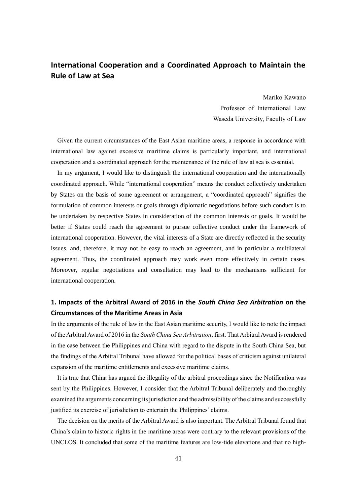### **International Cooperation and a Coordinated Approach to Maintain the Rule of Law at Sea**

Mariko Kawano Professor of International Law Waseda University, Faculty of Law

Given the current circumstances of the East Asian maritime areas, a response in accordance with international law against excessive maritime claims is particularly important, and international cooperation and a coordinated approach for the maintenance of the rule of law at sea is essential.

In my argument, I would like to distinguish the international cooperation and the internationally coordinated approach. While "international cooperation" means the conduct collectively undertaken by States on the basis of some agreement or arrangement, a "coordinated approach" signifies the formulation of common interests or goals through diplomatic negotiations before such conduct is to be undertaken by respective States in consideration of the common interests or goals. It would be better if States could reach the agreement to pursue collective conduct under the framework of international cooperation. However, the vital interests of a State are directly reflected in the security issues, and, therefore, it may not be easy to reach an agreement, and in particular a multilateral agreement. Thus, the coordinated approach may work even more effectively in certain cases. Moreover, regular negotiations and consultation may lead to the mechanisms sufficient for international cooperation.

### **1. Impacts of the Arbitral Award of 2016 in the** *South China Sea Arbitration* **on the Circumstances of the Maritime Areas in Asia**

In the arguments of the rule of law in the East Asian maritime security, I would like to note the impact of the Arbitral Award of 2016 in the *South China Sea Arbitration*, first. That Arbitral Award is rendered in the case between the Philippines and China with regard to the dispute in the South China Sea, but the findings of the Arbitral Tribunal have allowed for the political bases of criticism against unilateral expansion of the maritime entitlements and excessive maritime claims.

It is true that China has argued the illegality of the arbitral proceedings since the Notification was sent by the Philippines. However, I consider that the Arbitral Tribunal deliberately and thoroughly examined the arguments concerning its jurisdiction and the admissibility of the claims and successfully justified its exercise of jurisdiction to entertain the Philippines' claims.

The decision on the merits of the Arbitral Award is also important. The Arbitral Tribunal found that China's claim to historic rights in the maritime areas were contrary to the relevant provisions of the UNCLOS. It concluded that some of the maritime features are low-tide elevations and that no high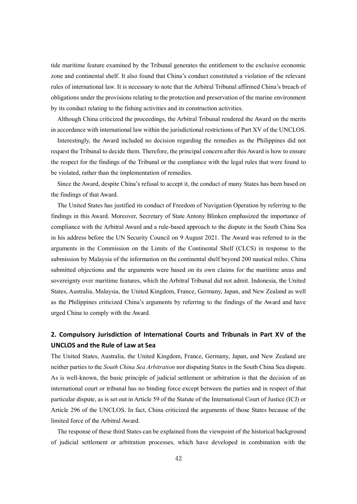tide maritime feature examined by the Tribunal generates the entitlement to the exclusive economic zone and continental shelf. It also found that China's conduct constituted a violation of the relevant rules of international law. It is necessary to note that the Arbitral Tribunal affirmed China's breach of obligations under the provisions relating to the protection and preservation of the marine environment by its conduct relating to the fishing activities and its construction activities.

Although China criticized the proceedings, the Arbitral Tribunal rendered the Award on the merits in accordance with international law within the jurisdictional restrictions of Part XV of the UNCLOS.

Interestingly, the Award included no decision regarding the remedies as the Philippines did not request the Tribunal to decide them. Therefore, the principal concern after this Award is how to ensure the respect for the findings of the Tribunal or the compliance with the legal rules that were found to be violated, rather than the implementation of remedies.

Since the Award, despite China's refusal to accept it, the conduct of many States has been based on the findings of that Award.

The United States has justified its conduct of Freedom of Navigation Operation by referring to the findings in this Award. Moreover, Secretary of State Antony Blinken emphasized the importance of compliance with the Arbitral Award and a rule-based approach to the dispute in the South China Sea in his address before the UN Security Council on 9 August 2021. The Award was referred to in the arguments in the Commission on the Limits of the Continental Shelf (CLCS) in response to the submission by Malaysia of the information on the continental shelf beyond 200 nautical miles. China submitted objections and the arguments were based on its own claims for the maritime areas and sovereignty over maritime features, which the Arbitral Tribunal did not admit. Indonesia, the United States, Australia, Malaysia, the United Kingdom, France, Germany, Japan, and New Zealand as well as the Philippines criticized China's arguments by referring to the findings of the Award and have urged China to comply with the Award.

### **2. Compulsory Jurisdiction of International Courts and Tribunals in Part XV of the UNCLOS and the Rule of Law at Sea**

The United States, Australia, the United Kingdom, France, Germany, Japan, and New Zealand are neither parties to the *South China Sea Arbitration* nor disputing States in the South China Sea dispute. As is well-known, the basic principle of judicial settlement or arbitration is that the decision of an international court or tribunal has no binding force except between the parties and in respect of that particular dispute, as is set out in Article 59 of the Statute of the International Court of Justice (ICJ) or Article 296 of the UNCLOS. In fact, China criticized the arguments of those States because of the limited force of the Arbitral Award.

The response of these third States can be explained from the viewpoint of the historical background of judicial settlement or arbitration processes, which have developed in combination with the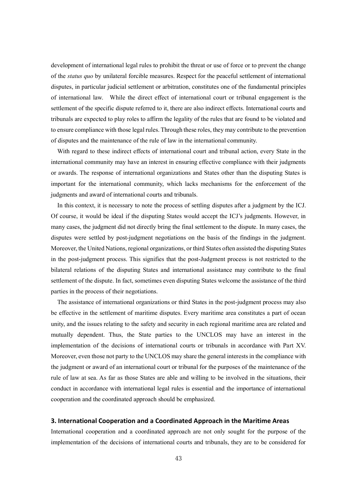development of international legal rules to prohibit the threat or use of force or to prevent the change of the *status quo* by unilateral forcible measures. Respect for the peaceful settlement of international disputes, in particular judicial settlement or arbitration, constitutes one of the fundamental principles of international law. While the direct effect of international court or tribunal engagement is the settlement of the specific dispute referred to it, there are also indirect effects. International courts and tribunals are expected to play roles to affirm the legality of the rules that are found to be violated and to ensure compliance with those legal rules. Through these roles, they may contribute to the prevention of disputes and the maintenance of the rule of law in the international community.

With regard to these indirect effects of international court and tribunal action, every State in the international community may have an interest in ensuring effective compliance with their judgments or awards. The response of international organizations and States other than the disputing States is important for the international community, which lacks mechanisms for the enforcement of the judgments and award of international courts and tribunals.

In this context, it is necessary to note the process of settling disputes after a judgment by the ICJ. Of course, it would be ideal if the disputing States would accept the ICJ's judgments. However, in many cases, the judgment did not directly bring the final settlement to the dispute. In many cases, the disputes were settled by post-judgment negotiations on the basis of the findings in the judgment. Moreover, the United Nations, regional organizations, or third States often assisted the disputing States in the post-judgment process. This signifies that the post-Judgment process is not restricted to the bilateral relations of the disputing States and international assistance may contribute to the final settlement of the dispute. In fact, sometimes even disputing States welcome the assistance of the third parties in the process of their negotiations.

The assistance of international organizations or third States in the post-judgment process may also be effective in the settlement of maritime disputes. Every maritime area constitutes a part of ocean unity, and the issues relating to the safety and security in each regional maritime area are related and mutually dependent. Thus, the State parties to the UNCLOS may have an interest in the implementation of the decisions of international courts or tribunals in accordance with Part XV. Moreover, even those not party to the UNCLOS may share the general interests in the compliance with the judgment or award of an international court or tribunal for the purposes of the maintenance of the rule of law at sea. As far as those States are able and willing to be involved in the situations, their conduct in accordance with international legal rules is essential and the importance of international cooperation and the coordinated approach should be emphasized.

#### **3. International Cooperation and a Coordinated Approach in the Maritime Areas**

International cooperation and a coordinated approach are not only sought for the purpose of the implementation of the decisions of international courts and tribunals, they are to be considered for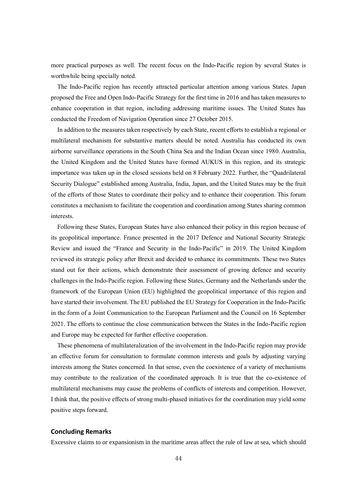more practical purposes as well. The recent focus on the Indo-Pacific region by several States is worthwhile being specially noted.

The Indo-Pacific region has recently attracted particular attention among various States. Japan proposed the Free and Open Indo-Pacific Strategy for the first time in 2016 and has taken measures to enhance cooperation in that region, including addressing maritime issues. The United States has conducted the Freedom of Navigation Operation since 27 October 2015.

In addition to the measures taken respectively by each State, recent efforts to establish a regional or multilateral mechanism for substantive matters should be noted. Australia has conducted its own airborne surveillance operations in the South China Sea and the Indian Ocean since 1980. Australia, the United Kingdom and the United States have formed AUKUS in this region, and its strategic importance was taken up in the closed sessions held on 8 February 2022. Further, the "Quadrilateral Security Dialogue" established among Australia, India, Japan, and the United States may be the fruit of the efforts of those States to coordinate their policy and to enhance their cooperation. This forum constitutes a mechanism to facilitate the cooperation and coordination among States sharing common interests.

Following these States, European States have also enhanced their policy in this region because of its geopolitical importance. France presented in the 2017 Defence and National Security Strategic Review and issued the "France and Security in the Indo-Pacific" in 2019. The United Kingdom reviewed its strategic policy after Brexit and decided to enhance its commitments. These two States stand out for their actions, which demonstrate their assessment of growing defence and security challenges in the Indo-Pacific region. Following these States, Germany and the Netherlands under the framework of the European Union (EU) highlighted the geopolitical importance of this region and have started their involvement. The EU published the EU Strategy for Cooperation in the Indo-Pacific in the form of a Joint Communication to the European Parliament and the Council on 16 September 2021. The efforts to continue the close communication between the States in the Indo-Pacific region and Europe may be expected for further effective cooperation.

These phenomena of multilateralization of the involvement in the Indo-Pacific region may provide an effective forum for consultation to formulate common interests and goals by adjusting varying interests among the States concerned. In that sense, even the coexistence of a variety of mechanisms may contribute to the realization of the coordinated approach. It is true that the co-existence of multilateral mechanisms may cause the problems of conflicts of interests and competition. However, I think that, the positive effects of strong multi-phased initiatives for the coordination may yield some positive steps forward.

#### **Concluding Remarks**

Excessive claims to or expansionism in the maritime areas affect the rule of law at sea, which should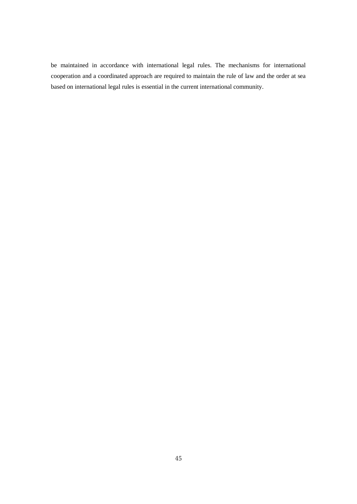be maintained in accordance with international legal rules. The mechanisms for international cooperation and a coordinated approach are required to maintain the rule of law and the order at sea based on international legal rules is essential in the current international community.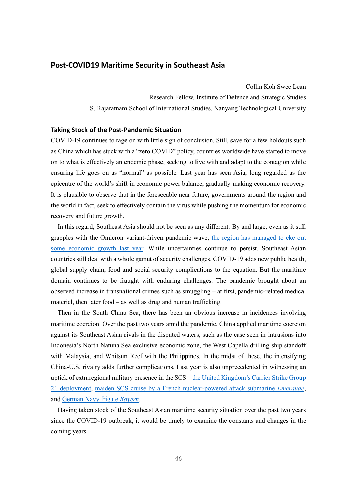#### **Post-COVID19 Maritime Security in Southeast Asia**

Collin Koh Swee Lean Research Fellow, Institute of Defence and Strategic Studies S. Rajaratnam School of International Studies, Nanyang Technological University

#### **Taking Stock of the Post-Pandemic Situation**

COVID-19 continues to rage on with little sign of conclusion. Still, save for a few holdouts such as China which has stuck with a "zero COVID" policy, countries worldwide have started to move on to what is effectively an endemic phase, seeking to live with and adapt to the contagion while ensuring life goes on as "normal" as possible. Last year has seen Asia, long regarded as the epicentre of the world's shift in economic power balance, gradually making economic recovery. It is plausible to observe that in the foreseeable near future, governments around the region and the world in fact, seek to effectively contain the virus while pushing the momentum for economic recovery and future growth.

In this regard, Southeast Asia should not be seen as any different. By and large, even as it still grapples with the Omicron variant-driven pandemic wave, [the region has managed to eke out](https://www.imf.org/en/Publications/REO/APAC/Issues/2021/10/15/regional-economic-outlook-for-asia-and-pacific-october-2021)  [some economic growth last year.](https://www.imf.org/en/Publications/REO/APAC/Issues/2021/10/15/regional-economic-outlook-for-asia-and-pacific-october-2021) While uncertainties continue to persist, Southeast Asian countries still deal with a whole gamut of security challenges. COVID-19 adds new public health, global supply chain, food and social security complications to the equation. But the maritime domain continues to be fraught with enduring challenges. The pandemic brought about an observed increase in transnational crimes such as smuggling – at first, pandemic-related medical materiel, then later food – as well as drug and human trafficking.

Then in the South China Sea, there has been an obvious increase in incidences involving maritime coercion. Over the past two years amid the pandemic, China applied maritime coercion against its Southeast Asian rivals in the disputed waters, such as the case seen in intrusions into Indonesia's North Natuna Sea exclusive economic zone, the West Capella drilling ship standoff with Malaysia, and Whitsun Reef with the Philippines. In the midst of these, the intensifying China-U.S. rivalry adds further complications. Last year is also unprecedented in witnessing an uptick of extraregional military presence in the SCS – [the United Kingdom's Carrier Strike Group](https://www.forces.net/news/hms-queen-elizabeth-enters-south-china-sea-carrier-strike-group)  [21 deployment,](https://www.forces.net/news/hms-queen-elizabeth-enters-south-china-sea-carrier-strike-group) [maiden SCS cruise by a French nuclear-powered attack submarine](https://www.france24.com/en/france/20210212-france-wades-into-the-south-china-sea-with-a-nuclear-attack-submarine) *Emeraude*, and [German Navy frigate](https://www.auswaertiges-amt.de/en/aussenpolitik/regionaleschwerpunkte/asien/frigate-bayern/2502176) *Bayern*.

Having taken stock of the Southeast Asian maritime security situation over the past two years since the COVID-19 outbreak, it would be timely to examine the constants and changes in the coming years.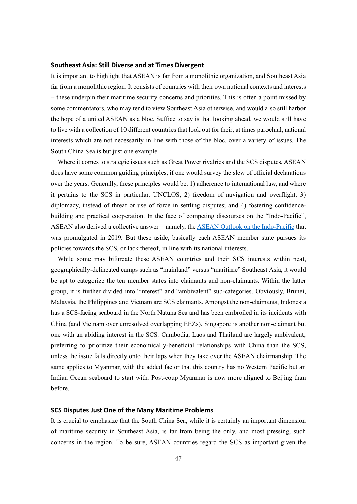#### **Southeast Asia: Still Diverse and at Times Divergent**

It is important to highlight that ASEAN is far from a monolithic organization, and Southeast Asia far from a monolithic region. It consists of countries with their own national contexts and interests – these underpin their maritime security concerns and priorities. This is often a point missed by some commentators, who may tend to view Southeast Asia otherwise, and would also still harbor the hope of a united ASEAN as a bloc. Suffice to say is that looking ahead, we would still have to live with a collection of 10 different countries that look out for their, at times parochial, national interests which are not necessarily in line with those of the bloc, over a variety of issues. The South China Sea is but just one example.

Where it comes to strategic issues such as Great Power rivalries and the SCS disputes, ASEAN does have some common guiding principles, if one would survey the slew of official declarations over the years. Generally, these principles would be: 1) adherence to international law, and where it pertains to the SCS in particular, UNCLOS; 2) freedom of navigation and overflight; 3) diplomacy, instead of threat or use of force in settling disputes; and 4) fostering confidencebuilding and practical cooperation. In the face of competing discourses on the "Indo-Pacific", ASEAN also derived a collective answer – namely, th[e ASEAN Outlook on the Indo-Pacific](https://asean.org/speechandstatement/asean-outlook-on-the-indo-pacific/) that was promulgated in 2019. But these aside, basically each ASEAN member state pursues its policies towards the SCS, or lack thereof, in line with its national interests.

While some may bifurcate these ASEAN countries and their SCS interests within neat, geographically-delineated camps such as "mainland" versus "maritime" Southeast Asia, it would be apt to categorize the ten member states into claimants and non-claimants. Within the latter group, it is further divided into "interest" and "ambivalent" sub-categories. Obviously, Brunei, Malaysia, the Philippines and Vietnam are SCS claimants. Amongst the non-claimants, Indonesia has a SCS-facing seaboard in the North Natuna Sea and has been embroiled in its incidents with China (and Vietnam over unresolved overlapping EEZs). Singapore is another non-claimant but one with an abiding interest in the SCS. Cambodia, Laos and Thailand are largely ambivalent, preferring to prioritize their economically-beneficial relationships with China than the SCS, unless the issue falls directly onto their laps when they take over the ASEAN chairmanship. The same applies to Myanmar, with the added factor that this country has no Western Pacific but an Indian Ocean seaboard to start with. Post-coup Myanmar is now more aligned to Beijing than before.

#### **SCS Disputes Just One of the Many Maritime Problems**

It is crucial to emphasize that the South China Sea, while it is certainly an important dimension of maritime security in Southeast Asia, is far from being the only, and most pressing, such concerns in the region. To be sure, ASEAN countries regard the SCS as important given the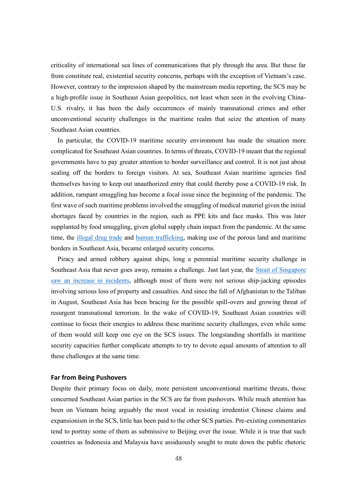criticality of international sea lines of communications that ply through the area. But these far from constitute real, existential security concerns, perhaps with the exception of Vietnam's case. However, contrary to the impression shaped by the mainstream media reporting, the SCS may be a high-profile issue in Southeast Asian geopolitics, not least when seen in the evolving China-U.S. rivalry, it has been the daily occurrences of mainly transnational crimes and other unconventional security challenges in the maritime realm that seize the attention of many Southeast Asian countries.

In particular, the COVID-19 maritime security environment has made the situation more complicated for Southeast Asian countries. In terms of threats, COVID-19 meant that the regional governments have to pay greater attention to border surveillance and control. It is not just about sealing off the borders to foreign visitors. At sea, Southeast Asian maritime agencies find themselves having to keep out unauthorized entry that could thereby pose a COVID-19 risk. In addition, rampant smuggling has become a focal issue since the beginning of the pandemic. The first wave of such maritime problems involved the smuggling of medical materiel given the initial shortages faced by countries in the region, such as PPE kits and face masks. This was later supplanted by food smuggling, given global supply chain impact from the pandemic. At the same time, the [illegal drug trade](https://www.unodc.org/southeastasiaandpacific/en/2021/06/regional-synthetic-drugs-report-launch/story.html) and [human trafficking,](https://www.aljazeera.com/news/2020/5/5/trafficking-warning-in-asia-as-coronavirus-pummels-economies) making use of the porous land and maritime borders in Southeast Asia, became enlarged security concerns.

Piracy and armed robbery against ships, long a perennial maritime security challenge in Southeast Asia that never goes away, remains a challenge. Just last year, the [Strait of Singapore](https://www.straitstimes.com/singapore/piracy-and-armed-robbery-cases-in-singapore-strait-hit-6-year-high-in-2021)  [saw an increase in incidents,](https://www.straitstimes.com/singapore/piracy-and-armed-robbery-cases-in-singapore-strait-hit-6-year-high-in-2021) although most of them were not serious ship-jacking episodes involving serious loss of property and casualties. And since the fall of Afghanistan to the Taliban in August, Southeast Asia has been bracing for the possible spill-overs and growing threat of resurgent transnational terrorism. In the wake of COVID-19, Southeast Asian countries will continue to focus their energies to address these maritime security challenges, even while some of them would still keep one eye on the SCS issues. The longstanding shortfalls in maritime security capacities further complicate attempts to try to devote equal amounts of attention to all these challenges at the same time.

#### **Far from Being Pushovers**

Despite their primary focus on daily, more persistent unconventional maritime threats, those concerned Southeast Asian parties in the SCS are far from pushovers. While much attention has been on Vietnam being arguably the most vocal in resisting irredentist Chinese claims and expansionism in the SCS, little has been paid to the other SCS parties. Pre-existing commentaries tend to portray some of them as submissive to Beijing over the issue. While it is true that such countries as Indonesia and Malaysia have assiduously sought to mute down the public rhetoric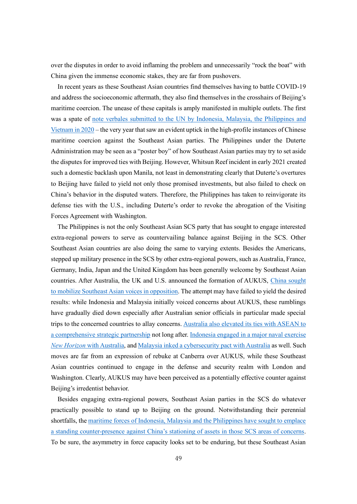over the disputes in order to avoid inflaming the problem and unnecessarily "rock the boat" with China given the immense economic stakes, they are far from pushovers.

In recent years as these Southeast Asian countries find themselves having to battle COVID-19 and address the socioeconomic aftermath, they also find themselves in the crosshairs of Beijing's maritime coercion. The unease of these capitals is amply manifested in multiple outlets. The first was a spate of [note verbales submitted to the UN by Indonesia, Malaysia,](https://www.un.org/depts/los/clcs_new/submissions_files/submission_mys_12_12_2019.html) the Philippines and [Vietnam in 2020](https://www.un.org/depts/los/clcs_new/submissions_files/submission_mys_12_12_2019.html) – the very year that saw an evident uptick in the high-profile instances of Chinese maritime coercion against the Southeast Asian parties. The Philippines under the Duterte Administration may be seen as a "poster boy" of how Southeast Asian parties may try to set aside the disputes for improved ties with Beijing. However, Whitsun Reef incident in early 2021 created such a domestic backlash upon Manila, not least in demonstrating clearly that Duterte's overtures to Beijing have failed to yield not only those promised investments, but also failed to check on China's behavior in the disputed waters. Therefore, the Philippines has taken to reinvigorate its defense ties with the U.S., including Duterte's order to revoke the abrogation of the Visiting Forces Agreement with Washington.

The Philippines is not the only Southeast Asian SCS party that has sought to engage interested extra-regional powers to serve as countervailing balance against Beijing in the SCS. Other Southeast Asian countries are also doing the same to varying extents. Besides the Americans, stepped up military presence in the SCS by other extra-regional powers, such as Australia, France, Germany, India, Japan and the United Kingdom has been generally welcome by Southeast Asian countries. After Australia, the UK and U.S. announced the formation of AUKUS, [China sought](https://www.fmprc.gov.cn/mfa_eng/wjbxw/202109/t20210924_9580364.html)  [to mobilize Southeast Asian voices in opposition.](https://www.fmprc.gov.cn/mfa_eng/wjbxw/202109/t20210924_9580364.html) The attempt may have failed to yield the desired results: while Indonesia and Malaysia initially voiced concerns about AUKUS, these rumblings have gradually died down especially after Australian senior officials in particular made special trips to the concerned countries to allay concerns. [Australia also elevated its ties with ASEAN to](https://www.pm.gov.au/media/australia-asean-leaders-summit-and-east-asia-summit)  [a comprehensive strategic partnership](https://www.pm.gov.au/media/australia-asean-leaders-summit-and-east-asia-summit) not long after. [Indonesia engaged in a major naval exercise](https://news.defence.gov.au/international/hmas-anzac-strengthens-partnership-indonesia)  *New Horizon* [with Australia,](https://news.defence.gov.au/international/hmas-anzac-strengthens-partnership-indonesia) an[d Malaysia inked a cybersecurity pact with Australia](https://www.malaymail.com/news/malaysia/2021/11/06/malaysia-australia-to-work-closely-on-cybersecurity/2018901) as well. Such moves are far from an expression of rebuke at Canberra over AUKUS, while these Southeast Asian countries continued to engage in the defense and security realm with London and Washington. Clearly, AUKUS may have been perceived as a potentially effective counter against Beijing's irredentist behavior.

Besides engaging extra-regional powers, Southeast Asian parties in the SCS do whatever practically possible to stand up to Beijing on the ground. Notwithstanding their perennial shortfalls, the [maritime forces of Indonesia, Malaysia and the Philippines have sought to emplace](https://amti.csis.org/nervous-energy-china-targets-new-indonesian-malaysian-drilling/)  [a standing counter-presence against China's stationing of assets in those](https://amti.csis.org/nervous-energy-china-targets-new-indonesian-malaysian-drilling/) SCS areas of concerns. To be sure, the asymmetry in force capacity looks set to be enduring, but these Southeast Asian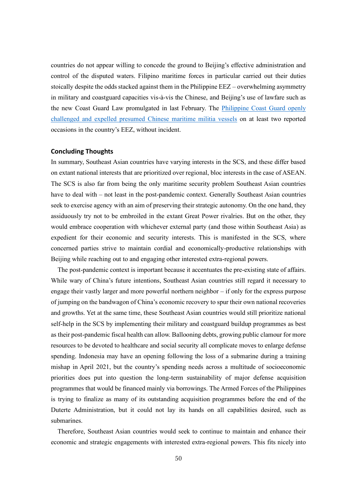countries do not appear willing to concede the ground to Beijing's effective administration and control of the disputed waters. Filipino maritime forces in particular carried out their duties stoically despite the odds stacked against them in the Philippine EEZ – overwhelming asymmetry in military and coastguard capacities vis-à-vis the Chinese, and Beijing's use of lawfare such as the new Coast Guard Law promulgated in last February. The [Philippine Coast Guard openly](https://www.cnnphilippines.com/news/2021/5/5/West-Philippine-Sea-exercises-patrols-continue.html)  [challenged and expelled presumed Chinese maritime militia vessels](https://www.cnnphilippines.com/news/2021/5/5/West-Philippine-Sea-exercises-patrols-continue.html) on at least two reported occasions in the country's EEZ, without incident.

#### **Concluding Thoughts**

In summary, Southeast Asian countries have varying interests in the SCS, and these differ based on extant national interests that are prioritized over regional, bloc interests in the case of ASEAN. The SCS is also far from being the only maritime security problem Southeast Asian countries have to deal with – not least in the post-pandemic context. Generally Southeast Asian countries seek to exercise agency with an aim of preserving their strategic autonomy. On the one hand, they assiduously try not to be embroiled in the extant Great Power rivalries. But on the other, they would embrace cooperation with whichever external party (and those within Southeast Asia) as expedient for their economic and security interests. This is manifested in the SCS, where concerned parties strive to maintain cordial and economically-productive relationships with Beijing while reaching out to and engaging other interested extra-regional powers.

The post-pandemic context is important because it accentuates the pre-existing state of affairs. While wary of China's future intentions, Southeast Asian countries still regard it necessary to engage their vastly larger and more powerful northern neighbor – if only for the express purpose of jumping on the bandwagon of China's economic recovery to spur their own national recoveries and growths. Yet at the same time, these Southeast Asian countries would still prioritize national self-help in the SCS by implementing their military and coastguard buildup programmes as best as their post-pandemic fiscal health can allow. Ballooning debts, growing public clamour for more resources to be devoted to healthcare and social security all complicate moves to enlarge defense spending. Indonesia may have an opening following the loss of a submarine during a training mishap in April 2021, but the country's spending needs across a multitude of socioeconomic priorities does put into question the long-term sustainability of major defense acquisition programmes that would be financed mainly via borrowings. The Armed Forces of the Philippines is trying to finalize as many of its outstanding acquisition programmes before the end of the Duterte Administration, but it could not lay its hands on all capabilities desired, such as submarines.

Therefore, Southeast Asian countries would seek to continue to maintain and enhance their economic and strategic engagements with interested extra-regional powers. This fits nicely into